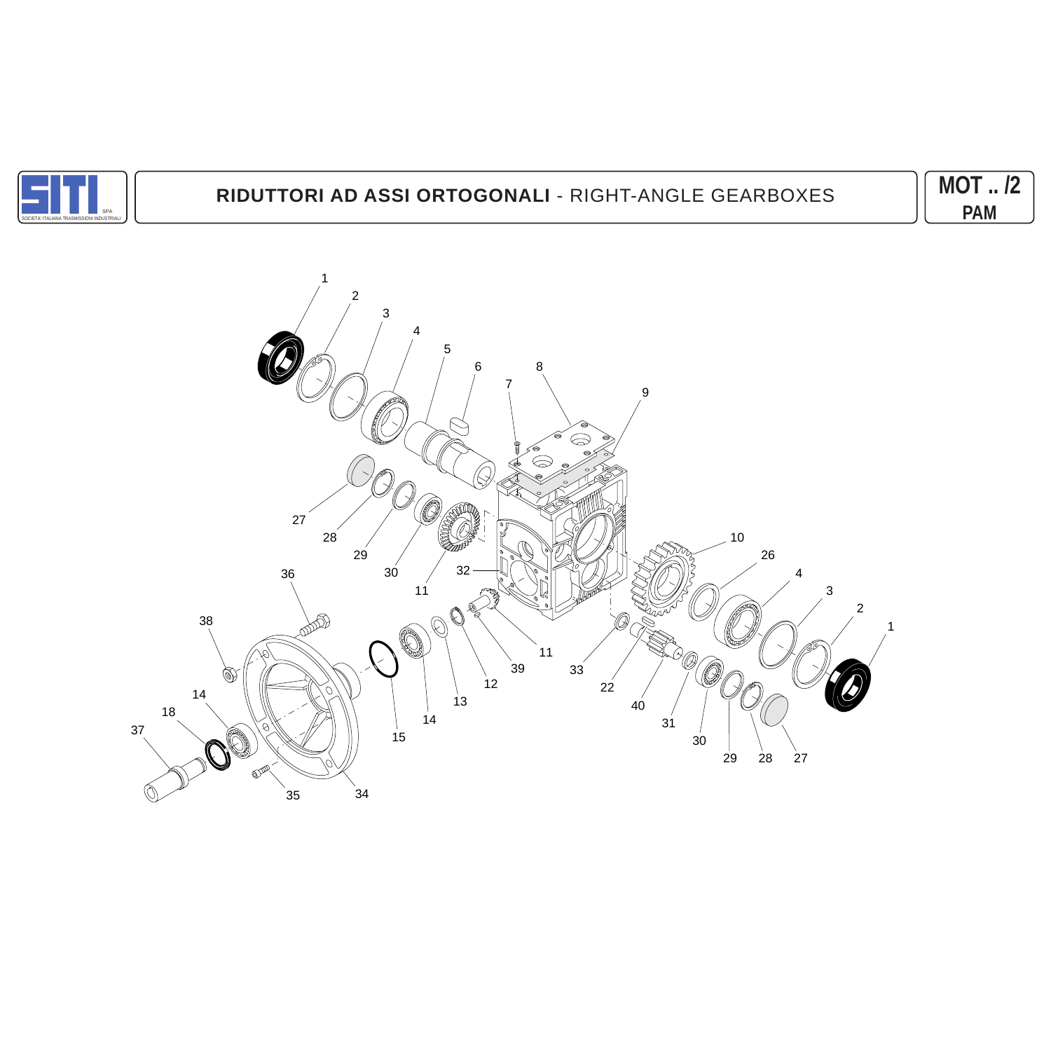

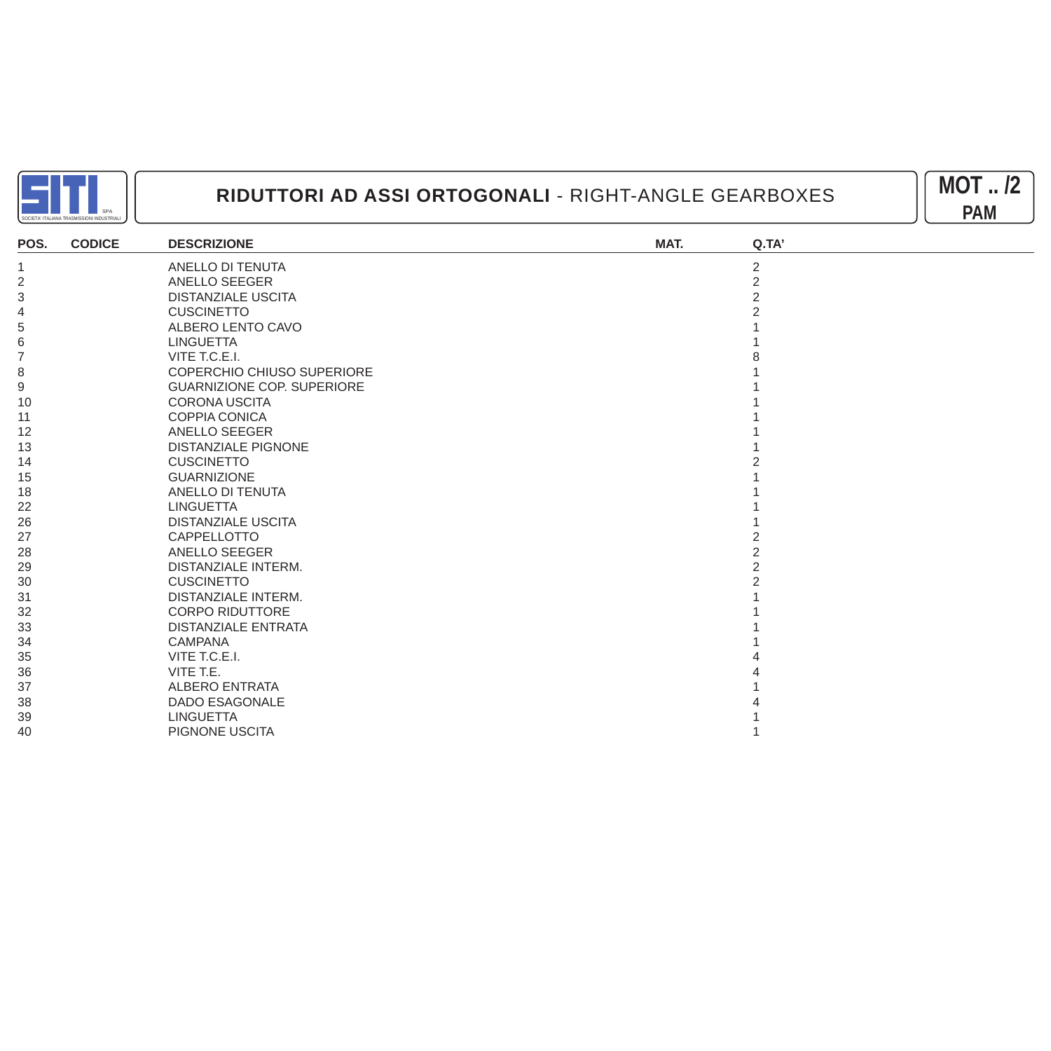



| POS.           | <b>CODICE</b> | <b>DESCRIZIONE</b>                | MAT. | Q.TA'          |
|----------------|---------------|-----------------------------------|------|----------------|
|                |               | ANELLO DI TENUTA                  |      | $\overline{2}$ |
| $\overline{2}$ |               | <b>ANELLO SEEGER</b>              |      | $\overline{2}$ |
| 3              |               | <b>DISTANZIALE USCITA</b>         |      | 2              |
| 4              |               | <b>CUSCINETTO</b>                 |      |                |
| 5              |               | ALBERO LENTO CAVO                 |      |                |
| 6              |               | <b>LINGUETTA</b>                  |      |                |
|                |               | VITE T.C.E.I.                     |      |                |
| 8              |               | COPERCHIO CHIUSO SUPERIORE        |      |                |
| 9              |               | <b>GUARNIZIONE COP. SUPERIORE</b> |      |                |
| 10             |               | <b>CORONA USCITA</b>              |      |                |
| 11             |               | <b>COPPIA CONICA</b>              |      |                |
| 12             |               | ANELLO SEEGER                     |      |                |
| 13             |               | <b>DISTANZIALE PIGNONE</b>        |      |                |
| 14             |               | <b>CUSCINETTO</b>                 |      |                |
| 15             |               | <b>GUARNIZIONE</b>                |      |                |
| 18             |               | ANELLO DI TENUTA                  |      |                |
| 22             |               | <b>LINGUETTA</b>                  |      |                |
| 26             |               | <b>DISTANZIALE USCITA</b>         |      |                |
| 27             |               | CAPPELLOTTO                       |      |                |
| 28             |               | ANELLO SEEGER                     |      |                |
| 29             |               | <b>DISTANZIALE INTERM.</b>        |      |                |
| 30             |               | <b>CUSCINETTO</b>                 |      |                |
| 31             |               | <b>DISTANZIALE INTERM.</b>        |      |                |
| 32             |               | <b>CORPO RIDUTTORE</b>            |      |                |
| 33             |               | <b>DISTANZIALE ENTRATA</b>        |      |                |
| 34             |               | <b>CAMPANA</b>                    |      |                |
| 35             |               | VITE T.C.E.I.                     |      |                |
| 36             |               | VITE T.E.                         |      |                |
| 37             |               | <b>ALBERO ENTRATA</b>             |      |                |
| 38             |               | <b>DADO ESAGONALE</b>             |      |                |
| 39             |               | <b>LINGUETTA</b>                  |      |                |
| 40             |               | PIGNONE USCITA                    |      |                |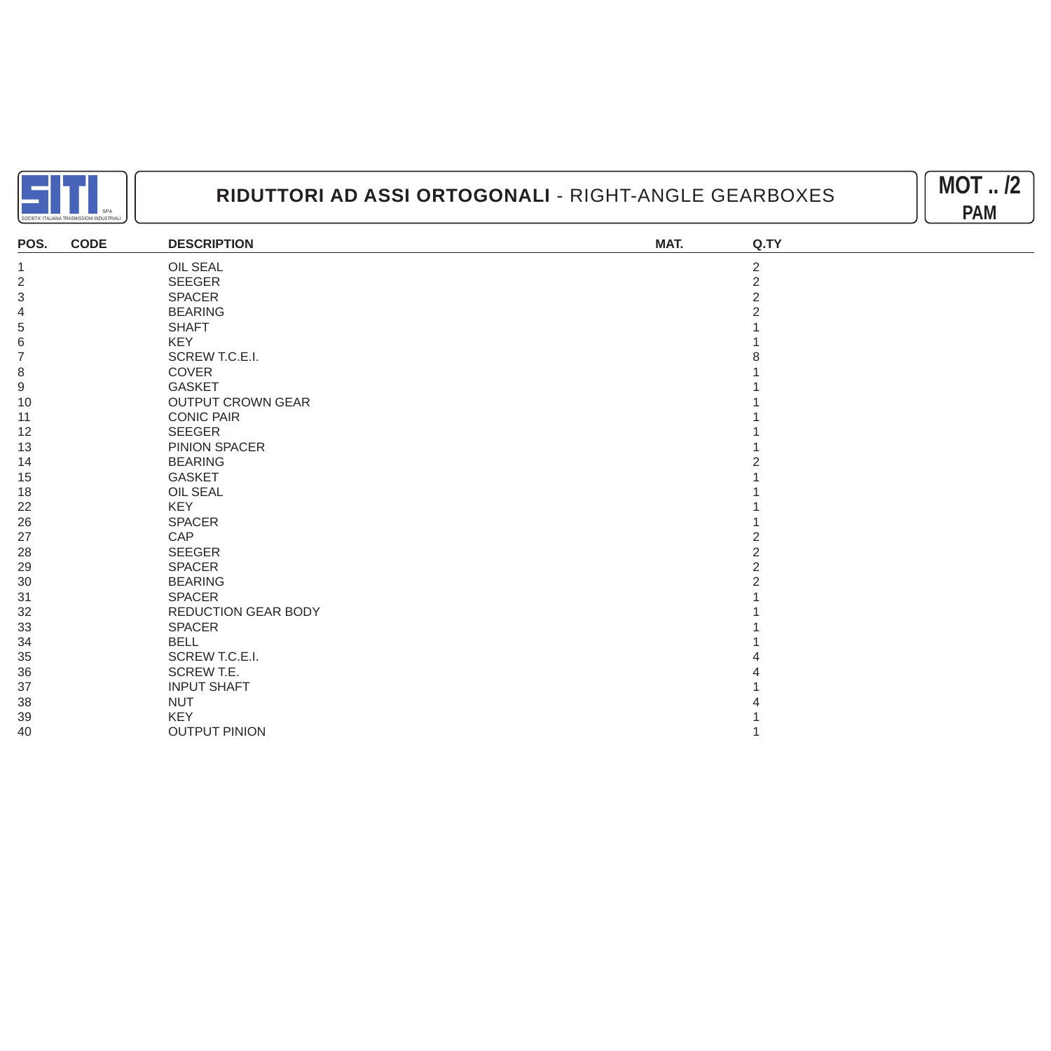



| POS.                      | <b>CODE</b> | <b>DESCRIPTION</b>         | MAT. | Q.TY           |
|---------------------------|-------------|----------------------------|------|----------------|
| $\mathbf{1}$              |             | OIL SEAL                   |      | $\overline{2}$ |
| $\sqrt{2}$                |             | SEEGER                     |      | $\overline{2}$ |
| $\ensuremath{\mathsf{3}}$ |             | SPACER                     |      | $\overline{2}$ |
| 4                         |             | <b>BEARING</b>             |      |                |
| $\,$ 5 $\,$               |             | <b>SHAFT</b>               |      |                |
| 6                         |             | <b>KEY</b>                 |      |                |
| $\overline{7}$            |             | SCREW T.C.E.I.             |      |                |
| 8                         |             | <b>COVER</b>               |      |                |
| 9                         |             | <b>GASKET</b>              |      |                |
| 10                        |             | <b>OUTPUT CROWN GEAR</b>   |      |                |
| 11                        |             | <b>CONIC PAIR</b>          |      |                |
| 12                        |             | <b>SEEGER</b>              |      |                |
| 13                        |             | PINION SPACER              |      |                |
| 14                        |             | <b>BEARING</b>             |      |                |
| 15                        |             | <b>GASKET</b>              |      |                |
| 18                        |             | <b>OIL SEAL</b>            |      |                |
| 22                        |             | <b>KEY</b>                 |      |                |
| 26                        |             | <b>SPACER</b>              |      |                |
| 27                        |             | CAP                        |      |                |
| 28                        |             | <b>SEEGER</b>              |      | $\overline{2}$ |
| 29                        |             | <b>SPACER</b>              |      | 2              |
| 30                        |             | <b>BEARING</b>             |      |                |
| 31                        |             | <b>SPACER</b>              |      |                |
| 32                        |             | <b>REDUCTION GEAR BODY</b> |      |                |
| 33                        |             | <b>SPACER</b>              |      |                |
| 34                        |             | <b>BELL</b>                |      |                |
| 35                        |             | SCREW T.C.E.I.             |      |                |
| 36                        |             | <b>SCREW T.E.</b>          |      |                |
| 37                        |             | <b>INPUT SHAFT</b>         |      |                |
| 38                        |             | <b>NUT</b>                 |      |                |
| 39                        |             | <b>KEY</b>                 |      |                |
| 40                        |             | <b>OUTPUT PINION</b>       |      |                |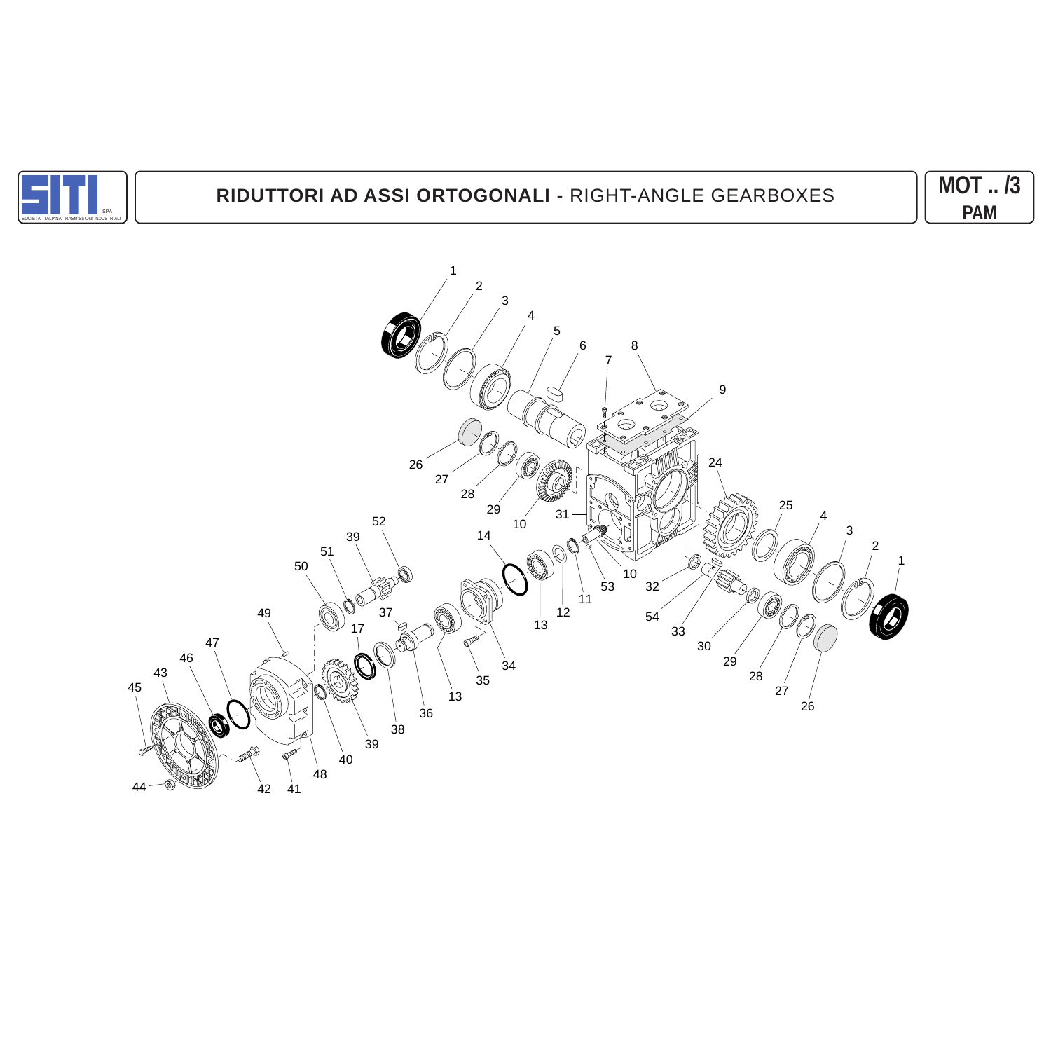

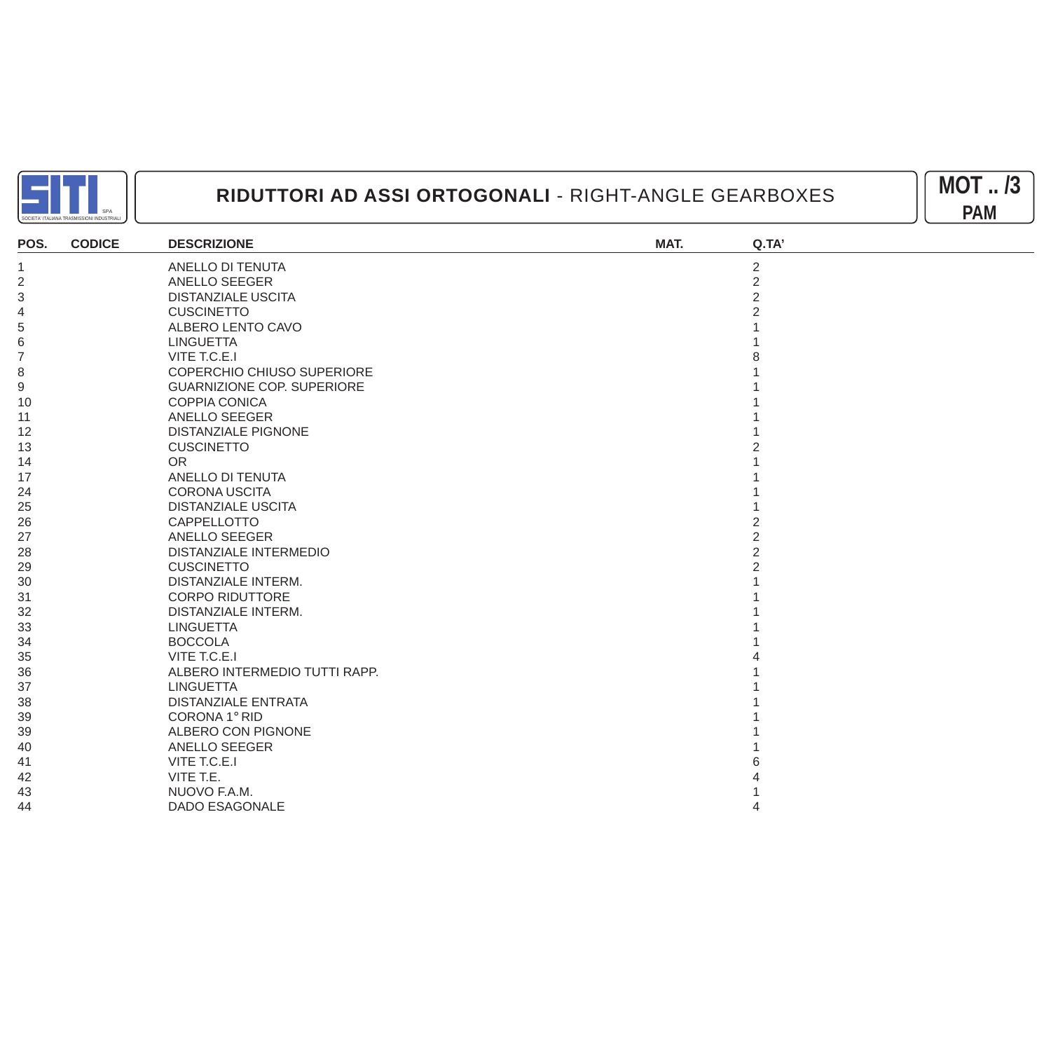



| POS.           | <b>CODICE</b> | <b>DESCRIZIONE</b>                | MAT. | Q.TA           |
|----------------|---------------|-----------------------------------|------|----------------|
| -1             |               | ANELLO DI TENUTA                  |      | $\overline{c}$ |
| $\overline{2}$ |               | ANELLO SEEGER                     |      | $\overline{c}$ |
| $\sqrt{3}$     |               | <b>DISTANZIALE USCITA</b>         |      | $\overline{2}$ |
| 4              |               | <b>CUSCINETTO</b>                 |      |                |
| 5              |               | ALBERO LENTO CAVO                 |      |                |
| 6              |               | <b>LINGUETTA</b>                  |      |                |
| 7              |               | VITE T.C.E.I                      |      |                |
| 8              |               | <b>COPERCHIO CHIUSO SUPERIORE</b> |      |                |
| 9              |               | <b>GUARNIZIONE COP. SUPERIORE</b> |      |                |
| 10             |               | <b>COPPIA CONICA</b>              |      |                |
| -11            |               | <b>ANELLO SEEGER</b>              |      |                |
| 12             |               | <b>DISTANZIALE PIGNONE</b>        |      |                |
| 13             |               | <b>CUSCINETTO</b>                 |      |                |
| 14             |               | <b>OR</b>                         |      |                |
| 17             |               | ANELLO DI TENUTA                  |      |                |
| 24             |               | <b>CORONA USCITA</b>              |      |                |
| 25             |               | <b>DISTANZIALE USCITA</b>         |      |                |
| 26             |               | CAPPELLOTTO                       |      |                |
| 27             |               | <b>ANELLO SEEGER</b>              |      | 2              |
| 28             |               | DISTANZIALE INTERMEDIO            |      | $\overline{c}$ |
| 29             |               | <b>CUSCINETTO</b>                 |      |                |
| 30             |               | <b>DISTANZIALE INTERM.</b>        |      |                |
| 31             |               | <b>CORPO RIDUTTORE</b>            |      |                |
| 32             |               | <b>DISTANZIALE INTERM.</b>        |      |                |
| 33             |               | <b>LINGUETTA</b>                  |      |                |
| 34             |               | <b>BOCCOLA</b>                    |      |                |
| 35             |               | VITE T.C.E.I                      |      |                |
| 36             |               | ALBERO INTERMEDIO TUTTI RAPP.     |      |                |
| 37             |               | <b>LINGUETTA</b>                  |      |                |
| 38             |               | <b>DISTANZIALE ENTRATA</b>        |      |                |
| 39             |               | CORONA 1° RID                     |      |                |
| 39             |               | ALBERO CON PIGNONE                |      |                |
| 40             |               | ANELLO SEEGER                     |      |                |
| 41             |               | VITE T.C.E.I                      |      |                |
| 42             |               | VITE T.E.                         |      |                |
| 43             |               | NUOVO F.A.M.                      |      |                |
| 44             |               | <b>DADO ESAGONALE</b>             |      |                |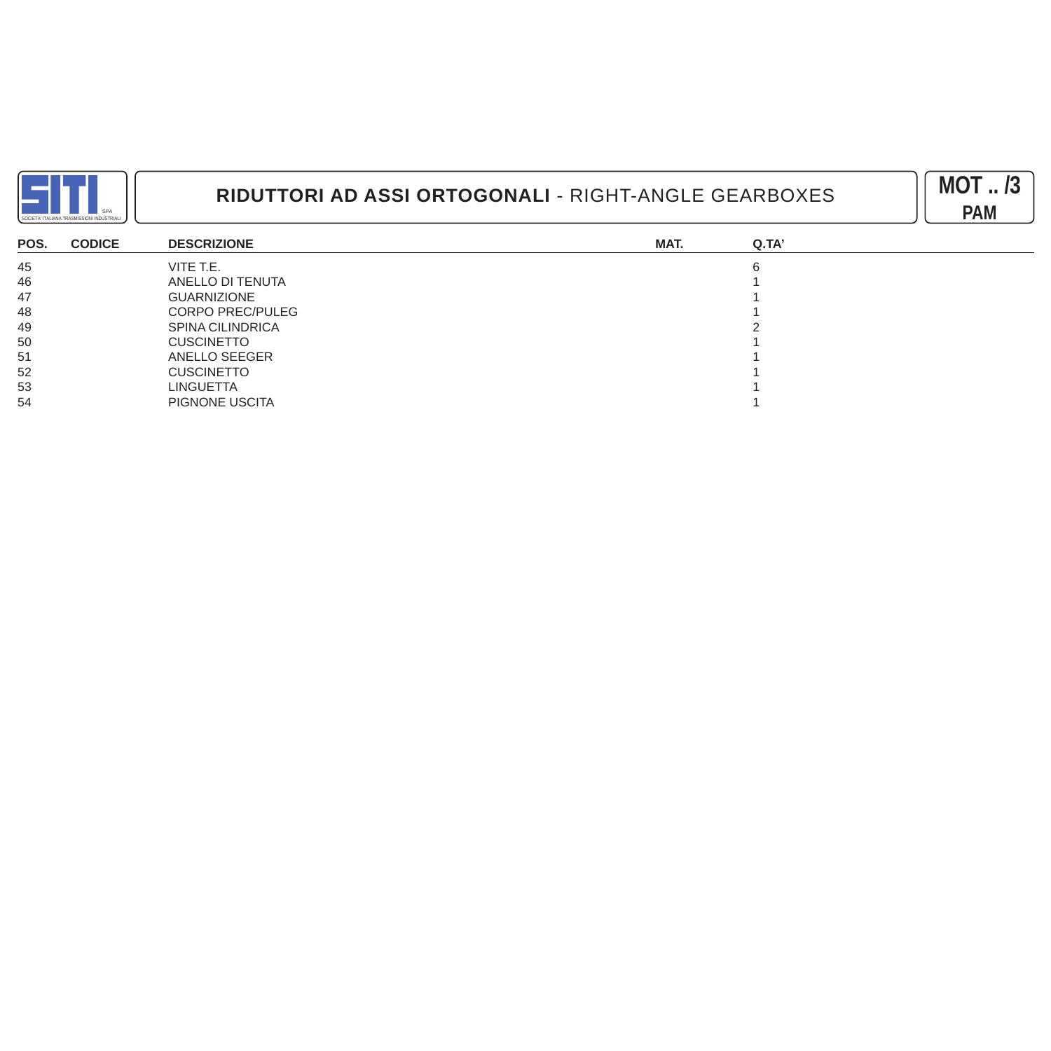



| POS. | <b>CODICE</b> | <b>DESCRIZIONE</b>      | MAT. | Q.TA' |
|------|---------------|-------------------------|------|-------|
| 45   |               | VITE T.E.               |      |       |
| 46   |               | ANELLO DI TENUTA        |      |       |
| 47   |               | <b>GUARNIZIONE</b>      |      |       |
| 48   |               | <b>CORPO PREC/PULEG</b> |      |       |
| 49   |               | <b>SPINA CILINDRICA</b> |      |       |
| 50   |               | <b>CUSCINETTO</b>       |      |       |
| 51   |               | ANELLO SEEGER           |      |       |
| 52   |               | <b>CUSCINETTO</b>       |      |       |
| 53   |               | LINGUETTA               |      |       |
| 54   |               | PIGNONE USCITA          |      |       |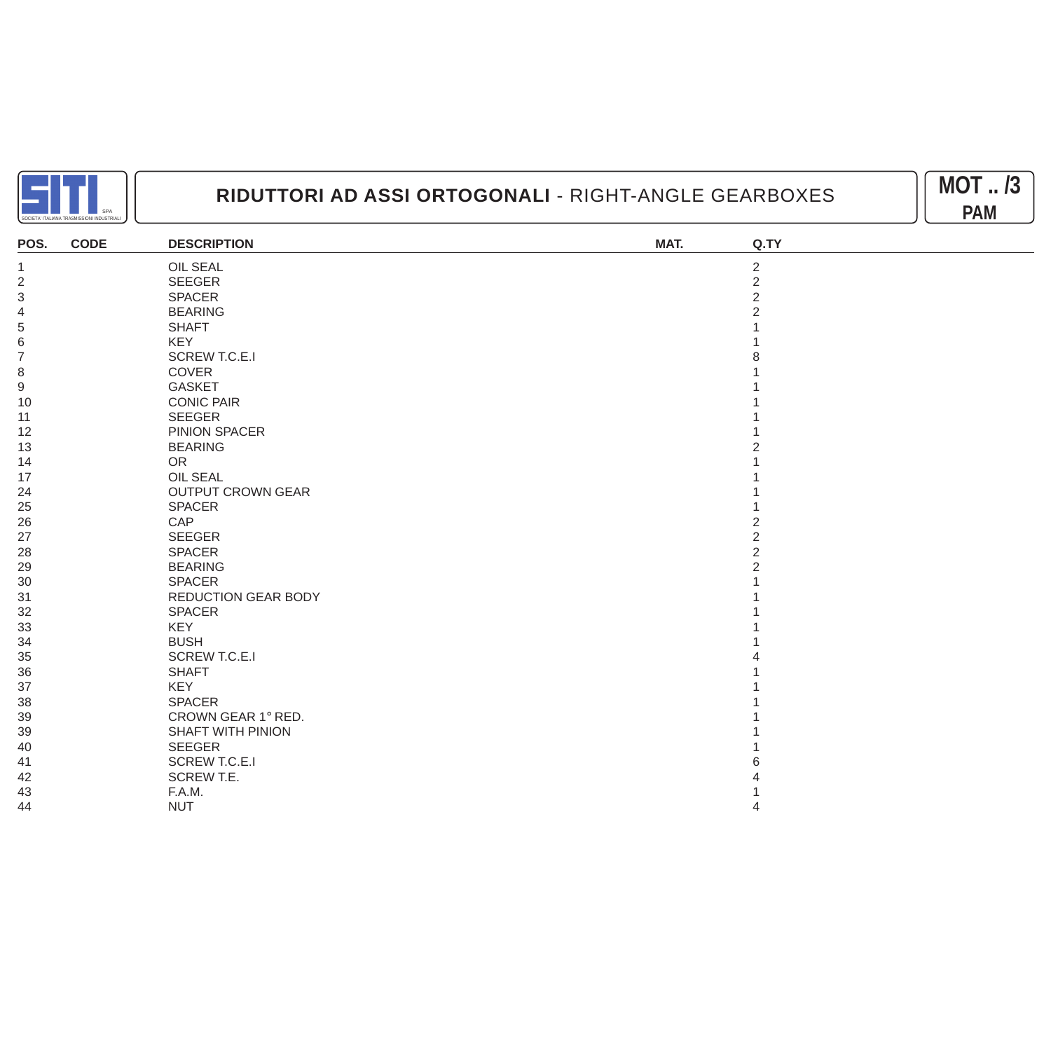



| POS.             | <b>CODE</b> | <b>DESCRIPTION</b>         | MAT. | Q.TY           |
|------------------|-------------|----------------------------|------|----------------|
| $\overline{1}$   |             | OIL SEAL                   |      | $\overline{2}$ |
| $\overline{2}$   |             | SEEGER                     |      | $\overline{2}$ |
| $\sqrt{3}$       |             | <b>SPACER</b>              |      | $\overline{2}$ |
| 4                |             | <b>BEARING</b>             |      |                |
| $\,$ 5 $\,$      |             | <b>SHAFT</b>               |      |                |
| 6                |             | <b>KEY</b>                 |      |                |
| $\overline{7}$   |             | <b>SCREW T.C.E.I</b>       |      |                |
| $\,8\,$          |             | COVER                      |      |                |
| $\boldsymbol{9}$ |             | <b>GASKET</b>              |      |                |
| 10               |             | <b>CONIC PAIR</b>          |      |                |
| 11               |             | <b>SEEGER</b>              |      |                |
| 12               |             | PINION SPACER              |      |                |
| 13               |             | <b>BEARING</b>             |      |                |
| 14               |             | <b>OR</b>                  |      |                |
| 17               |             | <b>OIL SEAL</b>            |      |                |
| 24               |             | <b>OUTPUT CROWN GEAR</b>   |      |                |
| 25               |             | SPACER                     |      |                |
| 26               |             | CAP                        |      |                |
| 27               |             | <b>SEEGER</b>              |      | 2              |
| 28               |             | <b>SPACER</b>              |      |                |
| 29               |             | <b>BEARING</b>             |      |                |
| 30               |             | <b>SPACER</b>              |      |                |
| 31               |             | <b>REDUCTION GEAR BODY</b> |      |                |
| 32               |             | SPACER                     |      |                |
| 33               |             | KEY                        |      |                |
| 34               |             | <b>BUSH</b>                |      |                |
| 35               |             | <b>SCREW T.C.E.I</b>       |      |                |
| 36               |             | <b>SHAFT</b>               |      |                |
| 37               |             | <b>KEY</b>                 |      |                |
| 38               |             | <b>SPACER</b>              |      |                |
| 39               |             | CROWN GEAR 1° RED.         |      |                |
| 39               |             | <b>SHAFT WITH PINION</b>   |      |                |
| 40               |             | <b>SEEGER</b>              |      |                |
| 41               |             | <b>SCREW T.C.E.I</b>       |      |                |
| 42               |             | SCREW T.E.                 |      |                |
| 43               |             | F.A.M.                     |      |                |
| 44               |             | <b>NUT</b>                 |      |                |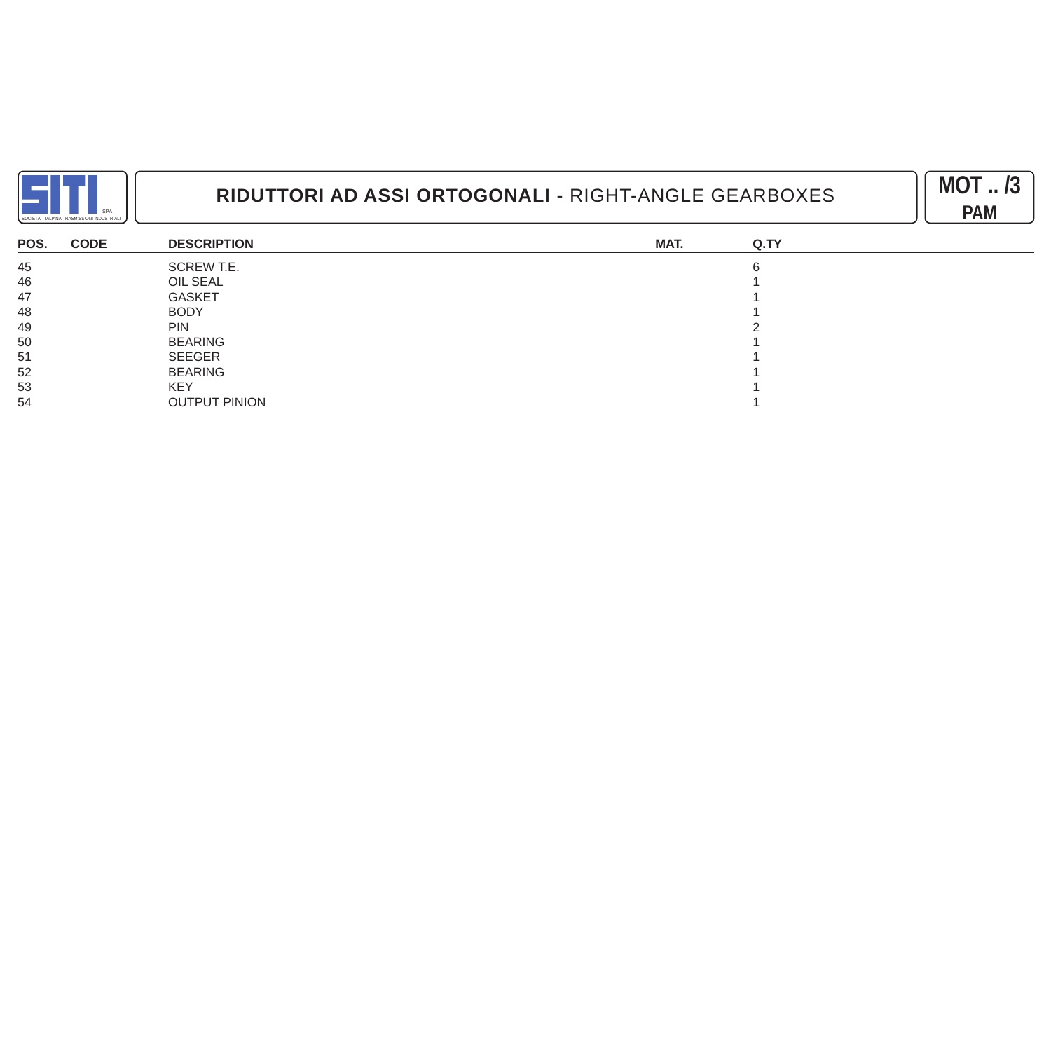



| POS. | <b>CODE</b> | <b>DESCRIPTION</b>   | MAT. | Q.TY |
|------|-------------|----------------------|------|------|
| 45   |             | SCREW T.E.           |      |      |
| 46   |             | OIL SEAL             |      |      |
| 47   |             | <b>GASKET</b>        |      |      |
| 48   |             | <b>BODY</b>          |      |      |
| 49   |             | <b>PIN</b>           |      |      |
| 50   |             | <b>BEARING</b>       |      |      |
| 51   |             | SEEGER               |      |      |
| 52   |             | <b>BEARING</b>       |      |      |
| 53   |             | <b>KEY</b>           |      |      |
| 54   |             | <b>OUTPUT PINION</b> |      |      |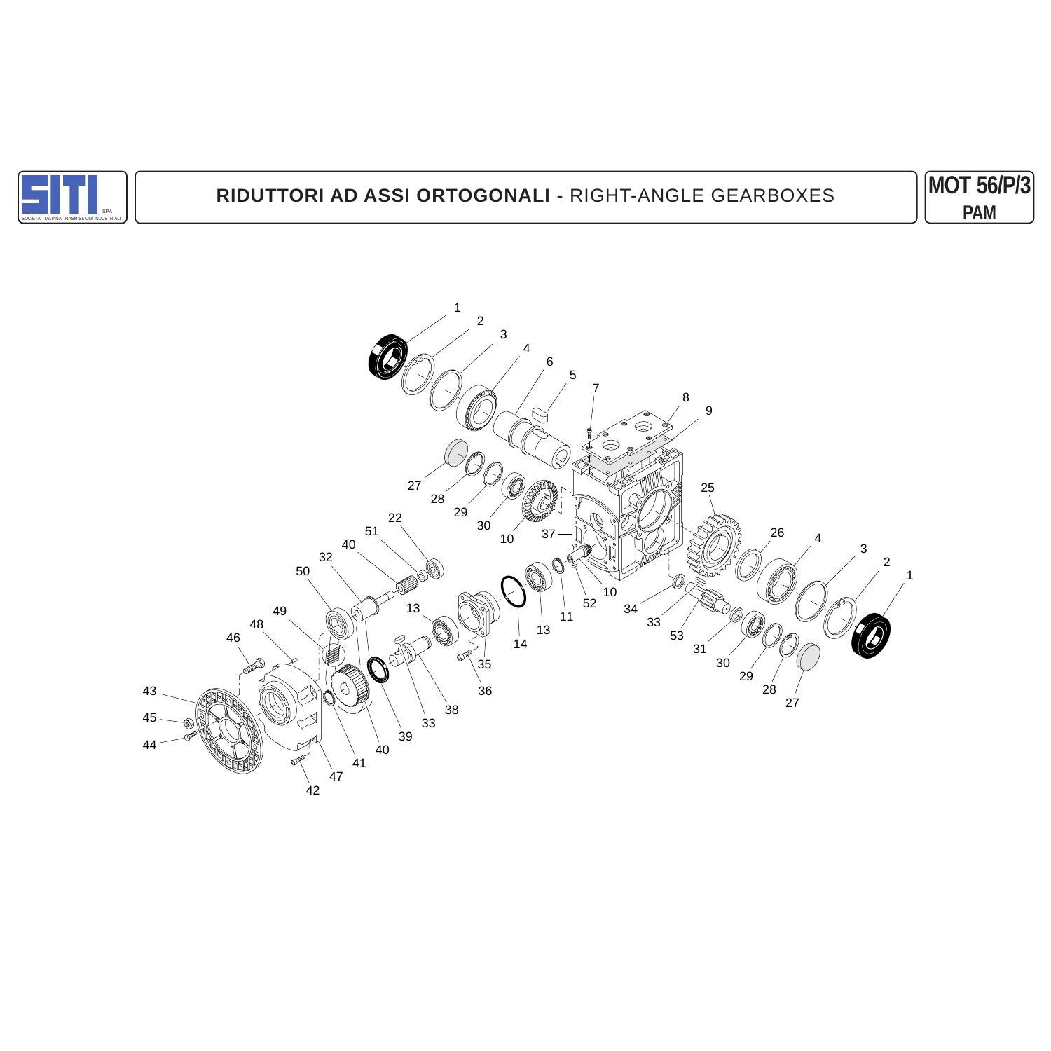

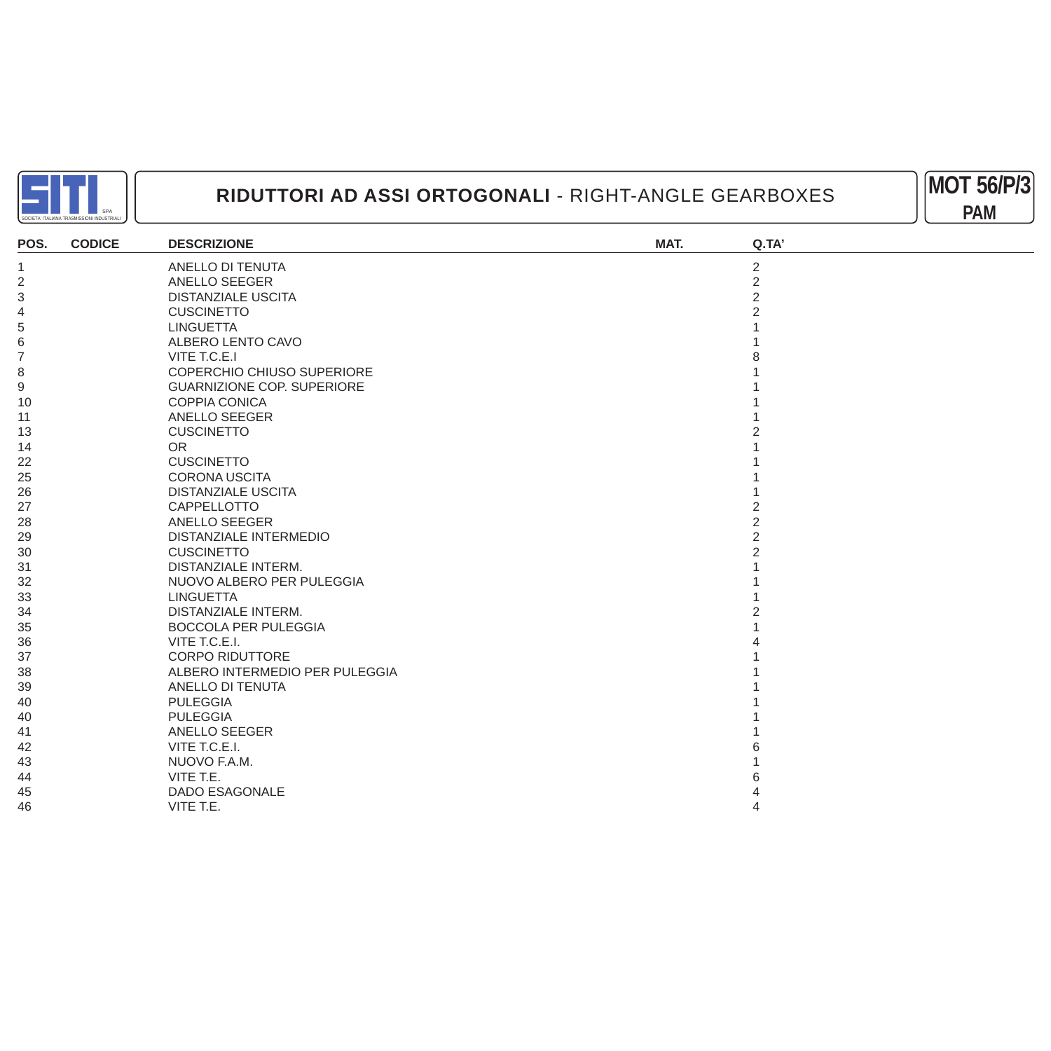



| POS.                     | <b>CODICE</b> | <b>DESCRIZIONE</b>                | MAT. | Q.TA'          |
|--------------------------|---------------|-----------------------------------|------|----------------|
| $\mathbf 1$              |               | ANELLO DI TENUTA                  |      | $\overline{2}$ |
| $\sqrt{2}$               |               | ANELLO SEEGER                     |      | $\sqrt{2}$     |
| 3                        |               | <b>DISTANZIALE USCITA</b>         |      | $\overline{2}$ |
| $\overline{\mathcal{L}}$ |               | <b>CUSCINETTO</b>                 |      |                |
| 5                        |               | <b>LINGUETTA</b>                  |      |                |
| $\,$ 6 $\,$              |               | ALBERO LENTO CAVO                 |      |                |
| $\overline{7}$           |               | VITE T.C.E.I                      |      |                |
| 8                        |               | COPERCHIO CHIUSO SUPERIORE        |      |                |
| $\boldsymbol{9}$         |               | <b>GUARNIZIONE COP. SUPERIORE</b> |      |                |
| 10                       |               | COPPIA CONICA                     |      |                |
| 11                       |               | <b>ANELLO SEEGER</b>              |      |                |
| 13                       |               | <b>CUSCINETTO</b>                 |      |                |
| 14                       |               | <b>OR</b>                         |      |                |
| 22                       |               | <b>CUSCINETTO</b>                 |      |                |
| 25                       |               | <b>CORONA USCITA</b>              |      |                |
| 26                       |               | <b>DISTANZIALE USCITA</b>         |      |                |
| 27                       |               | CAPPELLOTTO                       |      |                |
| 28                       |               | ANELLO SEEGER                     |      |                |
| 29                       |               | <b>DISTANZIALE INTERMEDIO</b>     |      |                |
| 30                       |               | <b>CUSCINETTO</b>                 |      |                |
| 31                       |               | <b>DISTANZIALE INTERM.</b>        |      |                |
| 32                       |               | NUOVO ALBERO PER PULEGGIA         |      |                |
| 33                       |               | <b>LINGUETTA</b>                  |      |                |
| 34                       |               | <b>DISTANZIALE INTERM.</b>        |      |                |
| 35                       |               | <b>BOCCOLA PER PULEGGIA</b>       |      |                |
| 36                       |               | VITE T.C.E.I.                     |      |                |
| 37                       |               | <b>CORPO RIDUTTORE</b>            |      |                |
| 38                       |               | ALBERO INTERMEDIO PER PULEGGIA    |      |                |
| 39                       |               | ANELLO DI TENUTA                  |      |                |
| 40                       |               | <b>PULEGGIA</b>                   |      |                |
| 40                       |               | <b>PULEGGIA</b>                   |      |                |
| 41                       |               | ANELLO SEEGER                     |      |                |
| 42                       |               | VITE T.C.E.I.                     |      |                |
| 43                       |               | NUOVO F.A.M.                      |      |                |
| 44                       |               | VITE T.E.                         |      |                |
| 45                       |               | <b>DADO ESAGONALE</b>             |      |                |
| 46                       |               | VITE T.E.                         |      |                |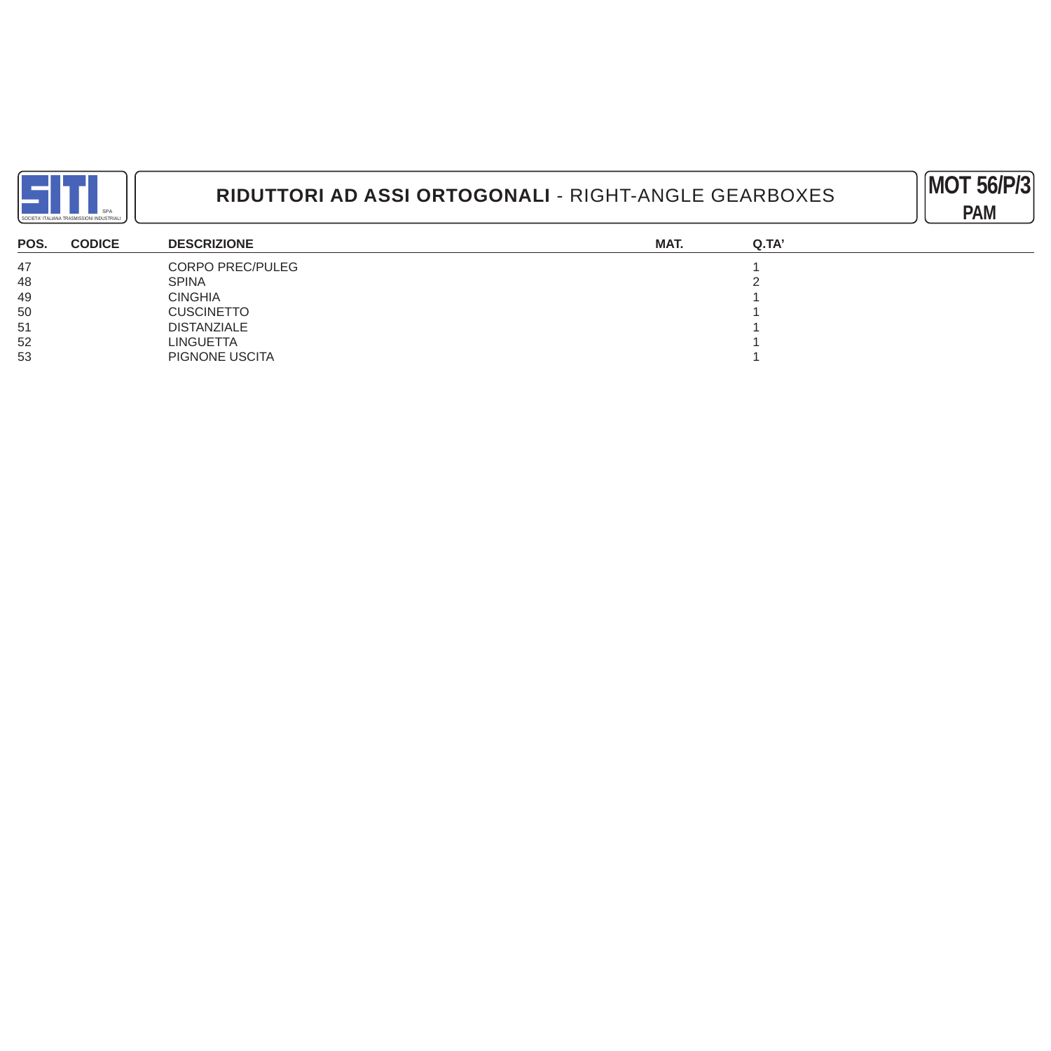



| POS. | <b>CODICE</b> | <b>DESCRIZIONE</b>      | MAT. | Q.TA' |
|------|---------------|-------------------------|------|-------|
| 47   |               | <b>CORPO PREC/PULEG</b> |      |       |
| 48   |               | <b>SPINA</b>            |      |       |
| 49   |               | <b>CINGHIA</b>          |      |       |
| 50   |               | <b>CUSCINETTO</b>       |      |       |
| 51   |               | <b>DISTANZIALE</b>      |      |       |
| 52   |               | <b>LINGUETTA</b>        |      |       |
| 53   |               | PIGNONE USCITA          |      |       |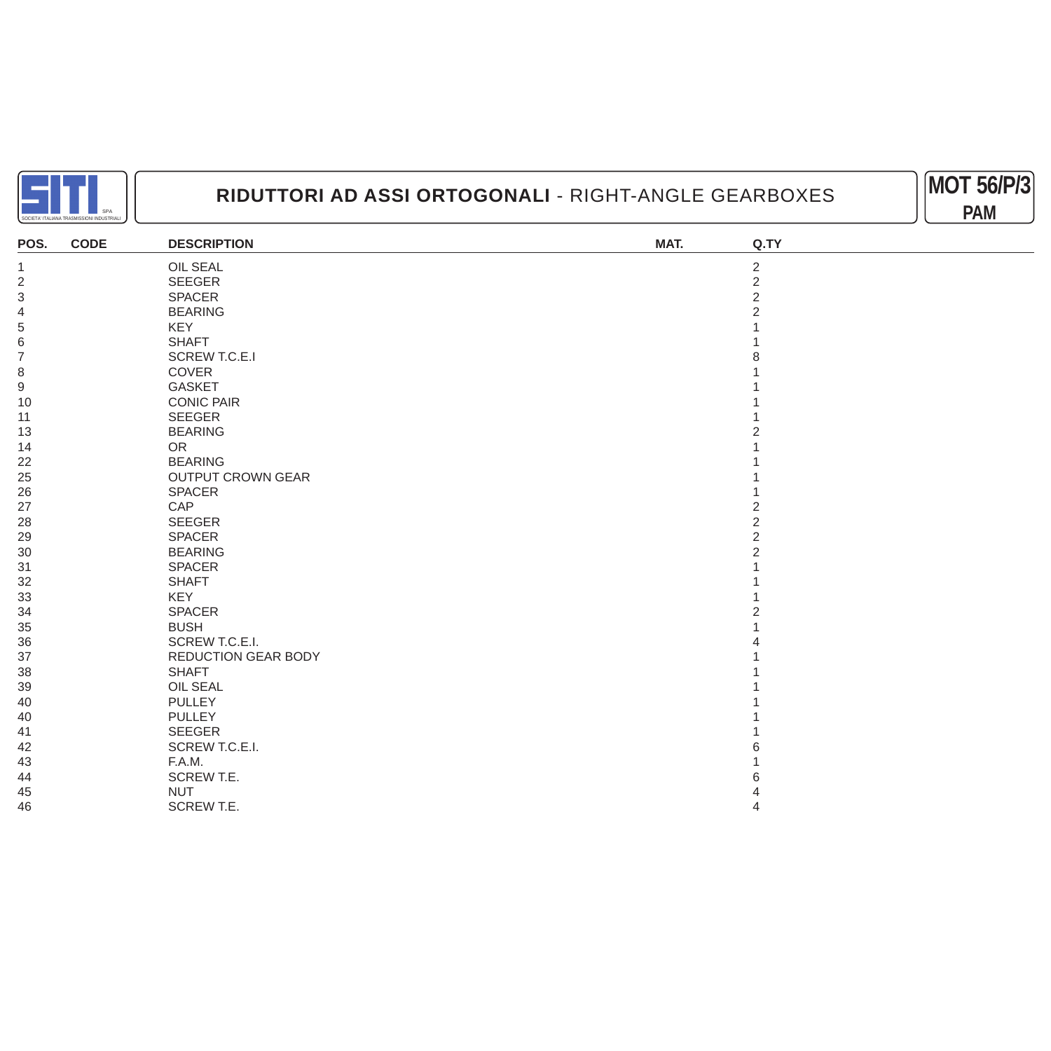



| POS.           | <b>CODE</b> | <b>DESCRIPTION</b>       | MAT. | Q.TY           |
|----------------|-------------|--------------------------|------|----------------|
| $\mathbf 1$    |             | <b>OIL SEAL</b>          |      | $\overline{2}$ |
| $\overline{2}$ |             | SEEGER                   |      | $\overline{2}$ |
| $\sqrt{3}$     |             | <b>SPACER</b>            |      | $\overline{2}$ |
| 4              |             | <b>BEARING</b>           |      |                |
| 5              |             | <b>KEY</b>               |      |                |
| 6              |             | <b>SHAFT</b>             |      |                |
| $\overline{7}$ |             | <b>SCREW T.C.E.I</b>     |      |                |
| 8              |             | COVER                    |      |                |
| 9              |             | <b>GASKET</b>            |      |                |
| 10             |             | <b>CONIC PAIR</b>        |      |                |
| 11             |             | <b>SEEGER</b>            |      |                |
| 13             |             | <b>BEARING</b>           |      |                |
| 14             |             | <b>OR</b>                |      |                |
| 22             |             | <b>BEARING</b>           |      |                |
| 25             |             | <b>OUTPUT CROWN GEAR</b> |      |                |
| 26             |             | SPACER                   |      |                |
| 27             |             | CAP                      |      | 2              |
| 28             |             | SEEGER                   |      | $\overline{2}$ |
| 29             |             | SPACER                   |      | $\mathfrak{p}$ |
| 30             |             | <b>BEARING</b>           |      | 2              |
| 31             |             | SPACER                   |      |                |
| 32             |             | <b>SHAFT</b>             |      |                |
| 33             |             | <b>KEY</b>               |      |                |
| 34             |             | <b>SPACER</b>            |      |                |
| 35             |             | <b>BUSH</b>              |      |                |
| 36             |             | SCREW T.C.E.I.           |      |                |
| 37             |             | REDUCTION GEAR BODY      |      |                |
| 38             |             | <b>SHAFT</b>             |      |                |
| 39             |             | OIL SEAL                 |      |                |
| 40             |             | <b>PULLEY</b>            |      |                |
| 40             |             | <b>PULLEY</b>            |      |                |
| 41             |             | <b>SEEGER</b>            |      |                |
| 42             |             | SCREW T.C.E.I.           |      |                |
| 43             |             | F.A.M.                   |      |                |
| 44             |             | SCREW T.E.               |      |                |
| 45             |             | <b>NUT</b>               |      |                |
| 46             |             | SCREW T.E.               |      |                |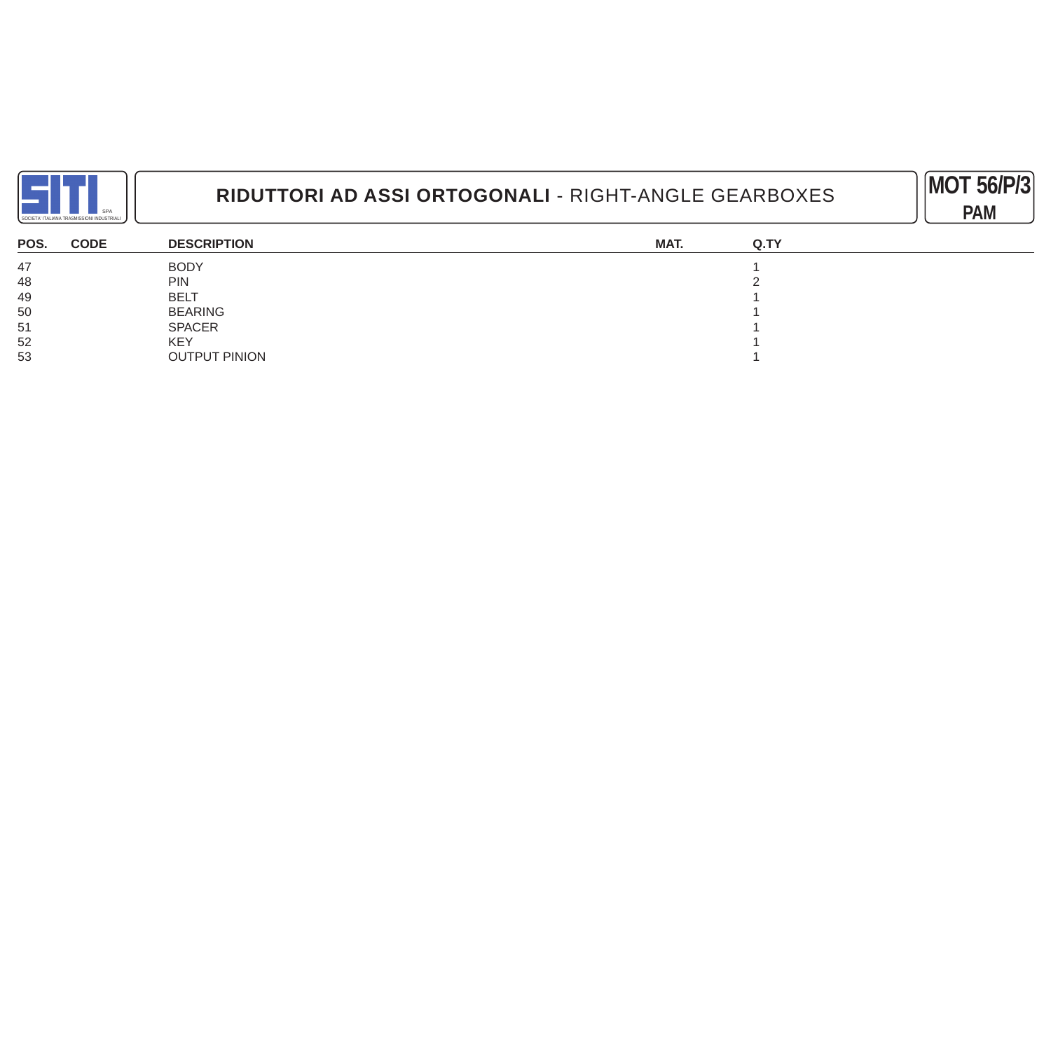



| POS. | <b>CODE</b> | <b>DESCRIPTION</b>   | MAT. | Q.TY |
|------|-------------|----------------------|------|------|
| 47   |             | <b>BODY</b>          |      |      |
| 48   |             | <b>PIN</b>           |      |      |
| 49   |             | <b>BELT</b>          |      |      |
| 50   |             | <b>BEARING</b>       |      |      |
| 51   |             | <b>SPACER</b>        |      |      |
| 52   |             | <b>KEY</b>           |      |      |
| 53   |             | <b>OUTPUT PINION</b> |      |      |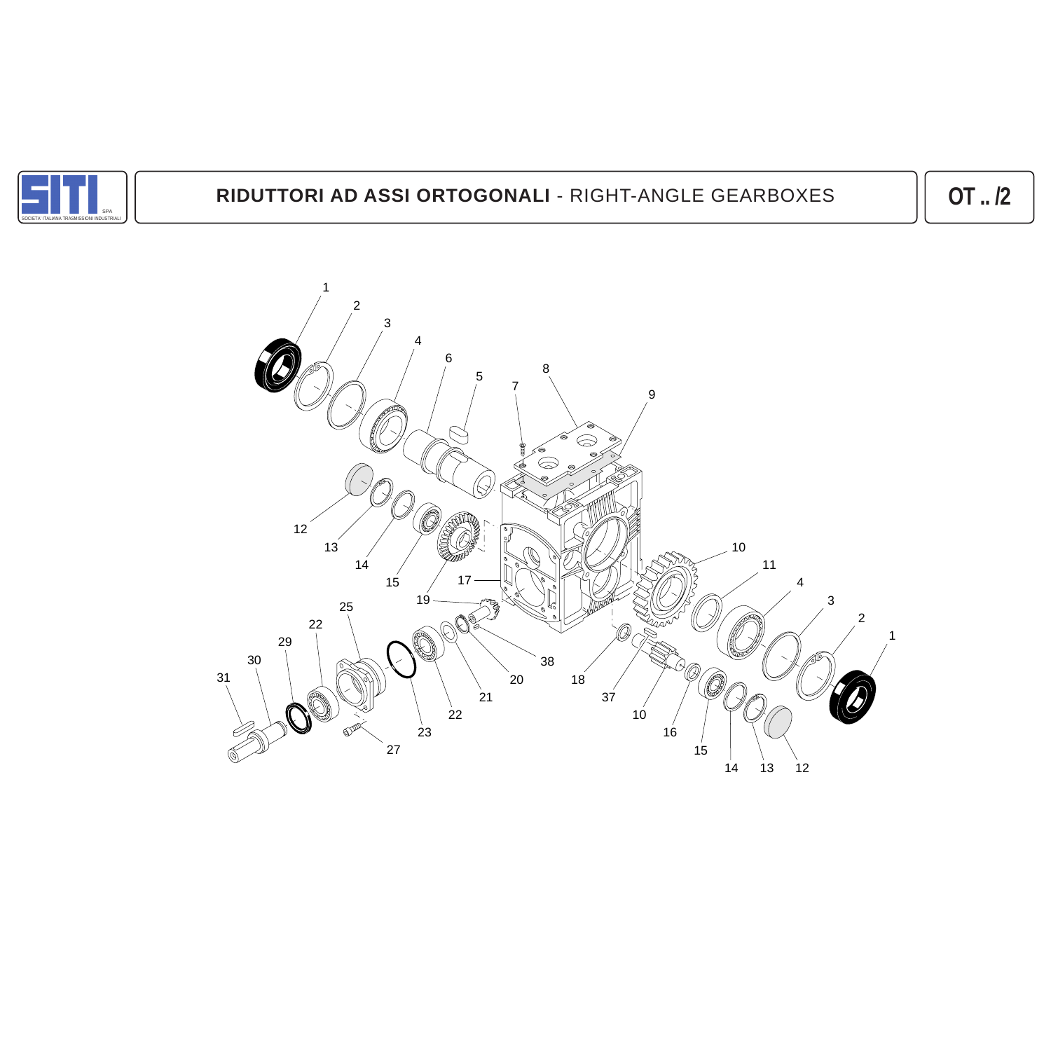

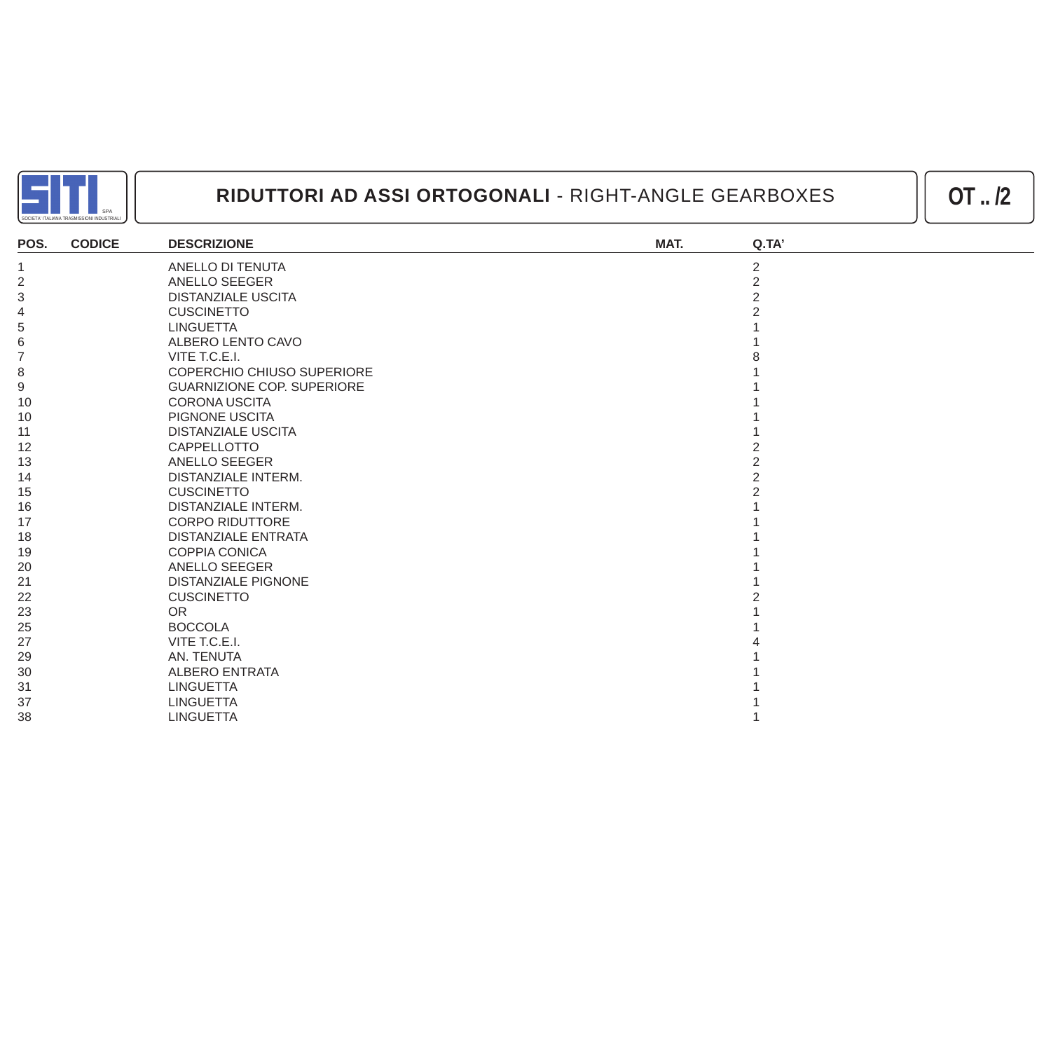

| POS.             | <b>CODICE</b> | <b>DESCRIZIONE</b>                | MAT. | Q.TA'          |
|------------------|---------------|-----------------------------------|------|----------------|
|                  |               | ANELLO DI TENUTA                  |      | $\overline{2}$ |
| $\overline{2}$   |               | ANELLO SEEGER                     |      | $\overline{2}$ |
| 3                |               | <b>DISTANZIALE USCITA</b>         |      |                |
| 4                |               | <b>CUSCINETTO</b>                 |      |                |
| 5                |               | <b>LINGUETTA</b>                  |      |                |
| 6                |               | ALBERO LENTO CAVO                 |      |                |
| $\overline{7}$   |               | VITE T.C.E.I.                     |      |                |
| 8                |               | <b>COPERCHIO CHIUSO SUPERIORE</b> |      |                |
| $\boldsymbol{9}$ |               | <b>GUARNIZIONE COP. SUPERIORE</b> |      |                |
| 10               |               | <b>CORONA USCITA</b>              |      |                |
| 10               |               | PIGNONE USCITA                    |      |                |
| 11               |               | <b>DISTANZIALE USCITA</b>         |      |                |
| 12               |               | CAPPELLOTTO                       |      |                |
| 13               |               | <b>ANELLO SEEGER</b>              |      |                |
| 14               |               | DISTANZIALE INTERM.               |      |                |
| 15               |               | <b>CUSCINETTO</b>                 |      |                |
| 16               |               | <b>DISTANZIALE INTERM.</b>        |      |                |
| 17               |               | <b>CORPO RIDUTTORE</b>            |      |                |
| 18               |               | <b>DISTANZIALE ENTRATA</b>        |      |                |
| 19               |               | <b>COPPIA CONICA</b>              |      |                |
| 20               |               | ANELLO SEEGER                     |      |                |
| 21               |               | <b>DISTANZIALE PIGNONE</b>        |      |                |
| 22               |               | <b>CUSCINETTO</b>                 |      |                |
| 23               |               | <b>OR</b>                         |      |                |
| 25               |               | <b>BOCCOLA</b>                    |      |                |
| 27               |               | VITE T.C.E.I.                     |      |                |
| 29               |               | AN. TENUTA                        |      |                |
| 30               |               | <b>ALBERO ENTRATA</b>             |      |                |
| 31               |               | <b>LINGUETTA</b>                  |      |                |
| 37               |               | <b>LINGUETTA</b>                  |      |                |
| 38               |               | <b>LINGUETTA</b>                  |      |                |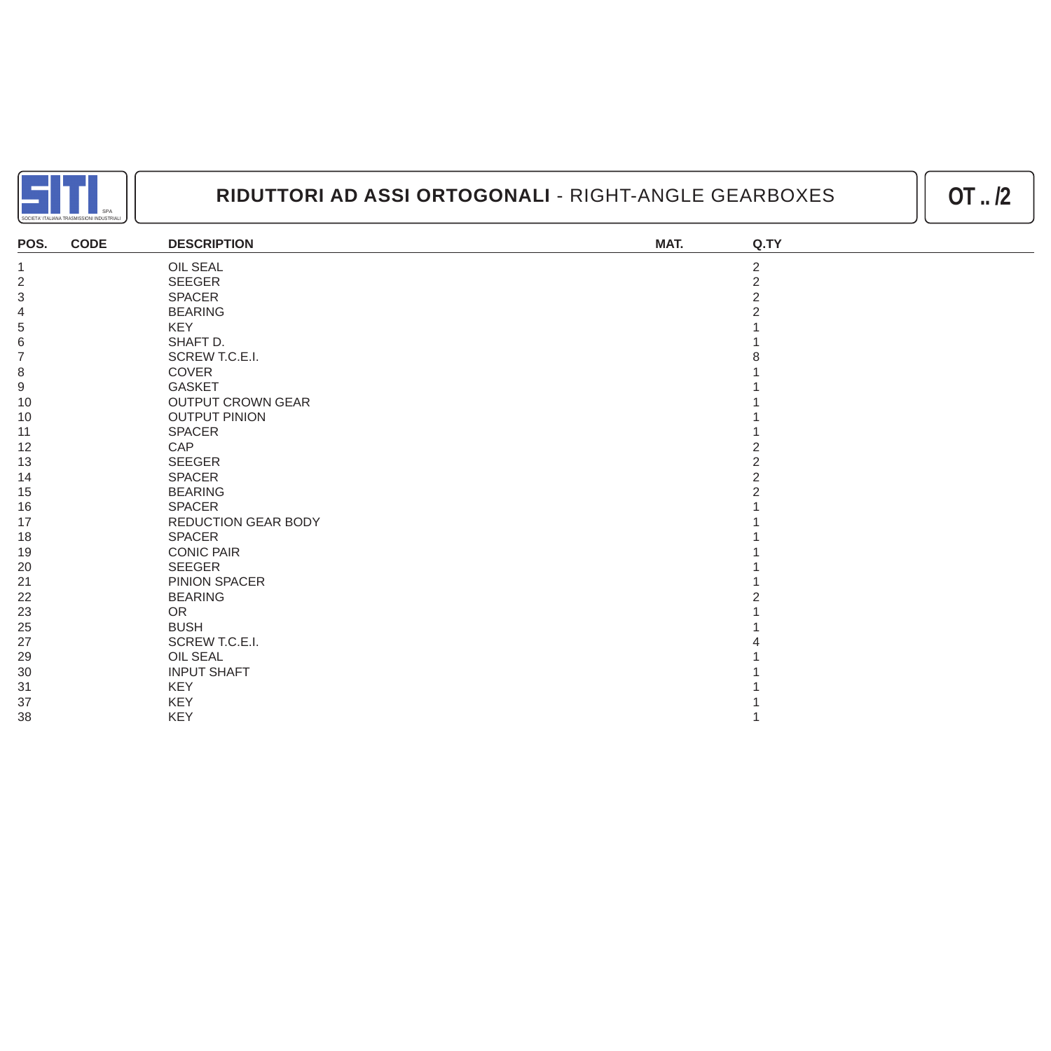

| POS.                      | <b>CODE</b> | <b>DESCRIPTION</b>       | MAT. | Q.TY           |
|---------------------------|-------------|--------------------------|------|----------------|
| 1                         |             | OIL SEAL                 |      | $\overline{2}$ |
| $\overline{2}$            |             | <b>SEEGER</b>            |      | $\overline{2}$ |
| $\ensuremath{\mathsf{3}}$ |             | <b>SPACER</b>            |      | っ              |
| $\overline{4}$            |             | <b>BEARING</b>           |      |                |
| 5                         |             | <b>KEY</b>               |      |                |
| 6                         |             | SHAFT D.                 |      |                |
| $\overline{7}$            |             | SCREW T.C.E.I.           |      |                |
| $\,8\,$                   |             | COVER                    |      |                |
| $\boldsymbol{9}$          |             | <b>GASKET</b>            |      |                |
| 10                        |             | <b>OUTPUT CROWN GEAR</b> |      |                |
| 10                        |             | <b>OUTPUT PINION</b>     |      |                |
| 11                        |             | SPACER                   |      |                |
| 12                        |             | CAP                      |      |                |
| 13                        |             | SEEGER                   |      |                |
| 14                        |             | SPACER                   |      |                |
| 15                        |             | <b>BEARING</b>           |      |                |
| 16                        |             | <b>SPACER</b>            |      |                |
| 17                        |             | REDUCTION GEAR BODY      |      |                |
| 18                        |             | <b>SPACER</b>            |      |                |
| 19                        |             | <b>CONIC PAIR</b>        |      |                |
| 20                        |             | <b>SEEGER</b>            |      |                |
| 21                        |             | PINION SPACER            |      |                |
| 22                        |             | <b>BEARING</b>           |      |                |
| 23                        |             | <b>OR</b>                |      |                |
| 25                        |             | <b>BUSH</b>              |      |                |
| 27                        |             | SCREW T.C.E.I.           |      |                |
| 29                        |             | <b>OIL SEAL</b>          |      |                |
| 30                        |             | <b>INPUT SHAFT</b>       |      |                |
| 31                        |             | KEY                      |      |                |
| 37                        |             | <b>KEY</b>               |      |                |
| 38                        |             | KEY                      |      |                |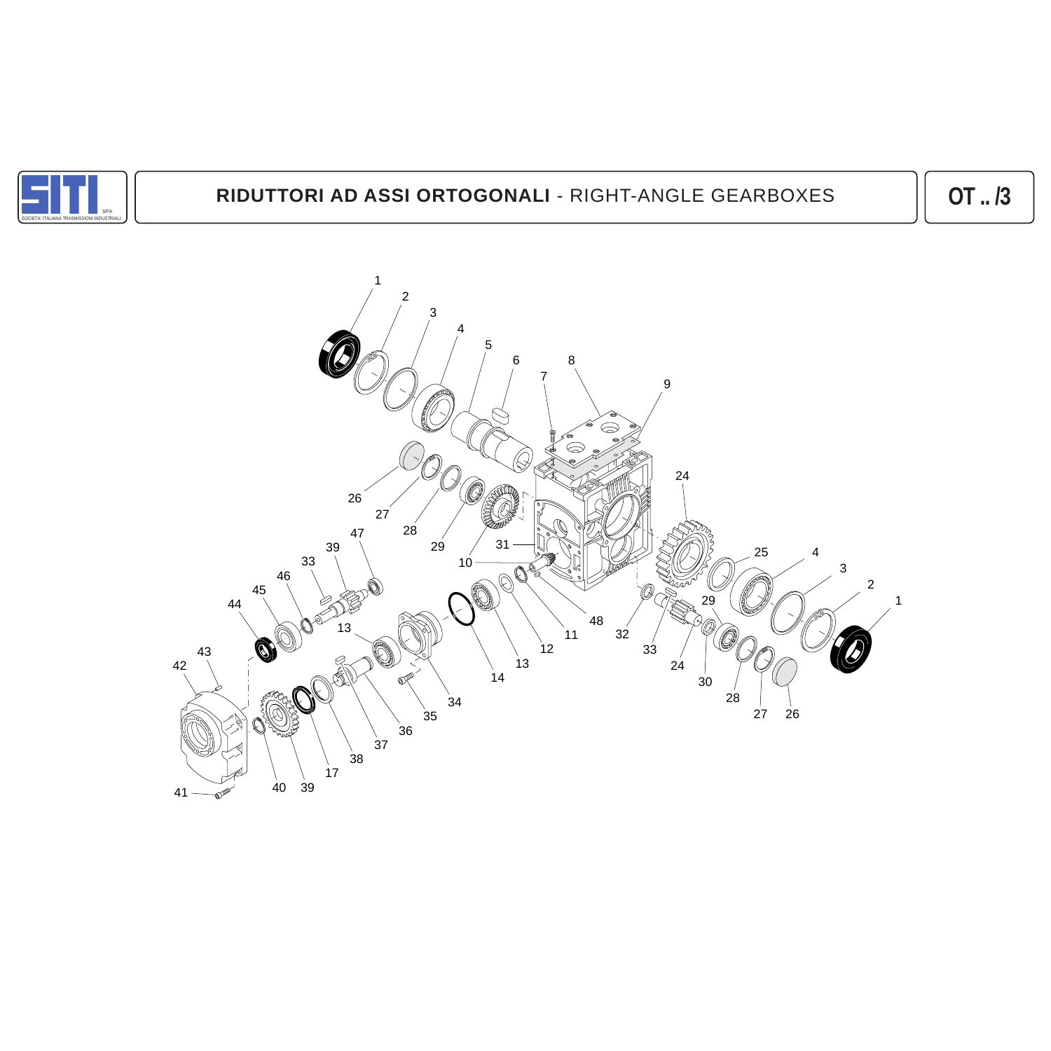

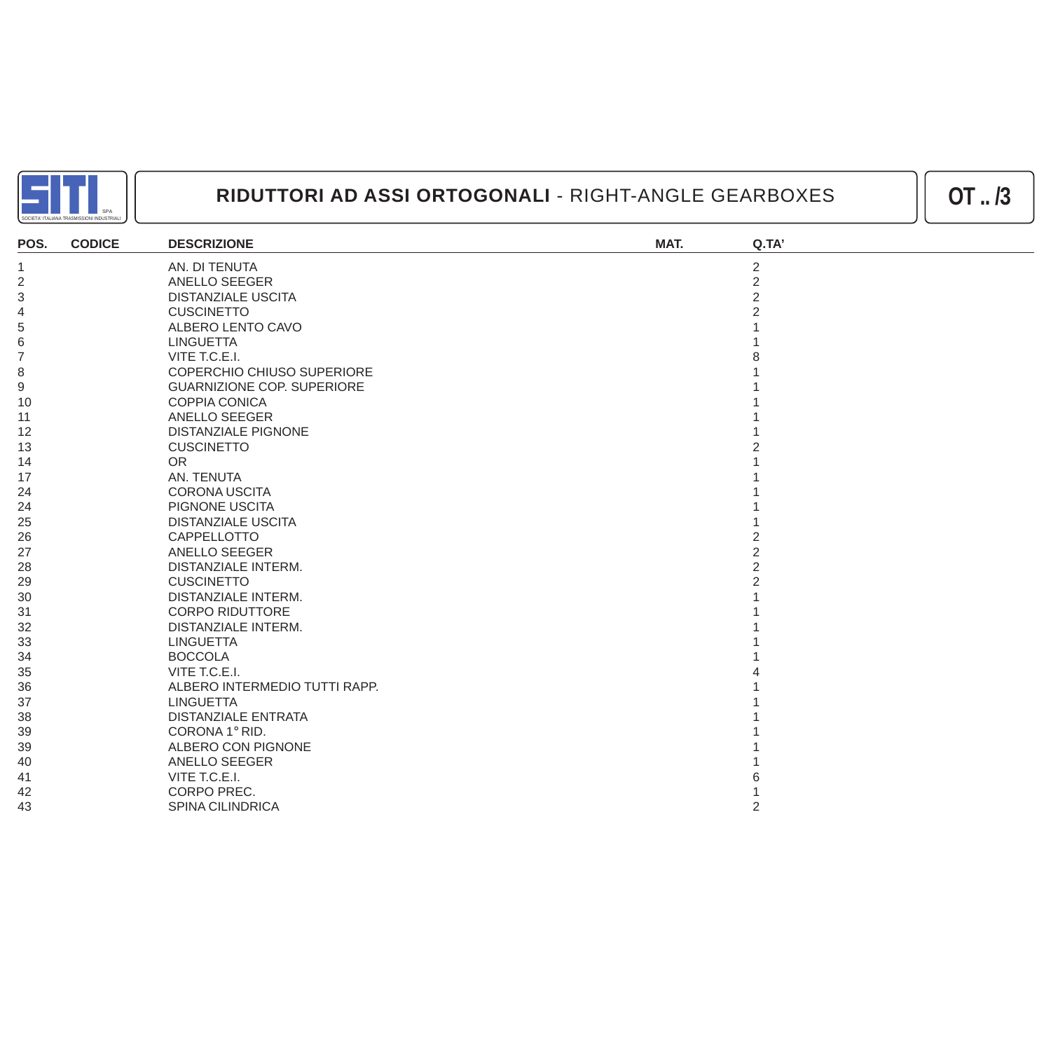

| POS.           | <b>CODICE</b> | <b>DESCRIZIONE</b>                | MAT. | Q.TA'          |
|----------------|---------------|-----------------------------------|------|----------------|
| $\mathbf{1}$   |               | AN. DI TENUTA                     |      | $\overline{2}$ |
| $\overline{2}$ |               | ANELLO SEEGER                     |      | $\overline{2}$ |
| 3              |               | <b>DISTANZIALE USCITA</b>         |      | $\overline{2}$ |
| $\overline{4}$ |               | <b>CUSCINETTO</b>                 |      |                |
| 5              |               | ALBERO LENTO CAVO                 |      |                |
| 6              |               | <b>LINGUETTA</b>                  |      |                |
| $\overline{7}$ |               | VITE T.C.E.I.                     |      |                |
| 8              |               | COPERCHIO CHIUSO SUPERIORE        |      |                |
| $9$            |               | <b>GUARNIZIONE COP. SUPERIORE</b> |      |                |
| 10             |               | COPPIA CONICA                     |      |                |
| 11             |               | ANELLO SEEGER                     |      |                |
| 12             |               | <b>DISTANZIALE PIGNONE</b>        |      |                |
| 13             |               | <b>CUSCINETTO</b>                 |      |                |
| 14             |               | <b>OR</b>                         |      |                |
| 17             |               | AN. TENUTA                        |      |                |
| 24             |               | <b>CORONA USCITA</b>              |      |                |
| 24             |               | PIGNONE USCITA                    |      |                |
| 25             |               | <b>DISTANZIALE USCITA</b>         |      |                |
| 26             |               | CAPPELLOTTO                       |      |                |
| 27             |               | <b>ANELLO SEEGER</b>              |      | 2              |
| 28             |               | <b>DISTANZIALE INTERM.</b>        |      | $\overline{2}$ |
| 29             |               | <b>CUSCINETTO</b>                 |      |                |
| 30             |               | <b>DISTANZIALE INTERM.</b>        |      |                |
| 31             |               | <b>CORPO RIDUTTORE</b>            |      |                |
| 32             |               | DISTANZIALE INTERM.               |      |                |
| 33             |               | <b>LINGUETTA</b>                  |      |                |
| 34             |               | <b>BOCCOLA</b>                    |      |                |
| 35             |               | VITE T.C.E.I.                     |      |                |
| 36             |               | ALBERO INTERMEDIO TUTTI RAPP.     |      |                |
| 37             |               | <b>LINGUETTA</b>                  |      |                |
| 38             |               | <b>DISTANZIALE ENTRATA</b>        |      |                |
| 39             |               | CORONA 1° RID.                    |      |                |
| 39             |               | ALBERO CON PIGNONE                |      |                |
| 40             |               | ANELLO SEEGER                     |      |                |
| 41             |               | VITE T.C.E.I.                     |      |                |
| 42             |               | CORPO PREC.                       |      |                |
| 43             |               | <b>SPINA CILINDRICA</b>           |      | $\overline{2}$ |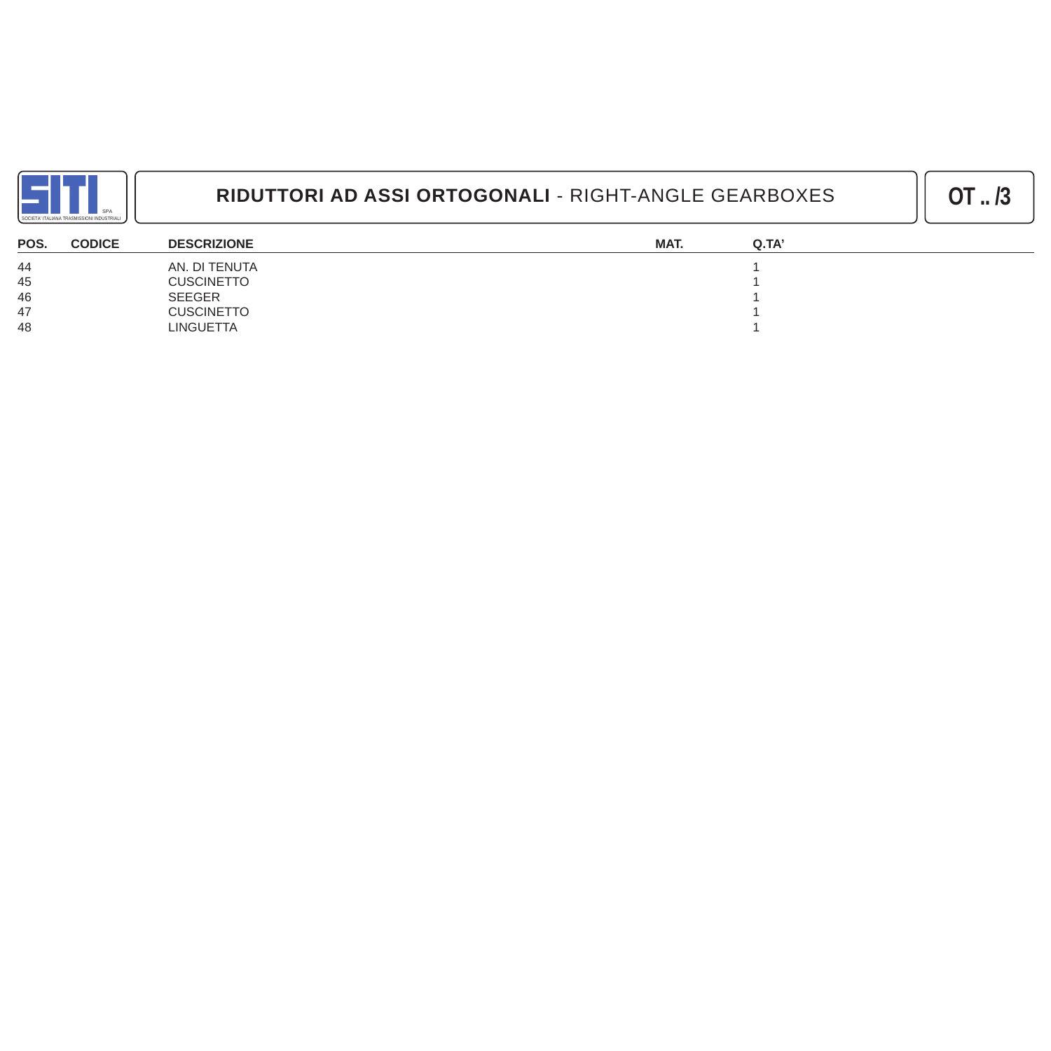

| POS.<br><b>CODICE</b> | <b>DESCRIZIONE</b> | MAT. | Q.TA' |
|-----------------------|--------------------|------|-------|
| 44                    | AN. DI TENUTA      |      |       |
| 45                    | <b>CUSCINETTO</b>  |      |       |
| 46                    | <b>SEEGER</b>      |      |       |
| 47                    | <b>CUSCINETTO</b>  |      |       |
| 48                    | <b>LINGUETTA</b>   |      |       |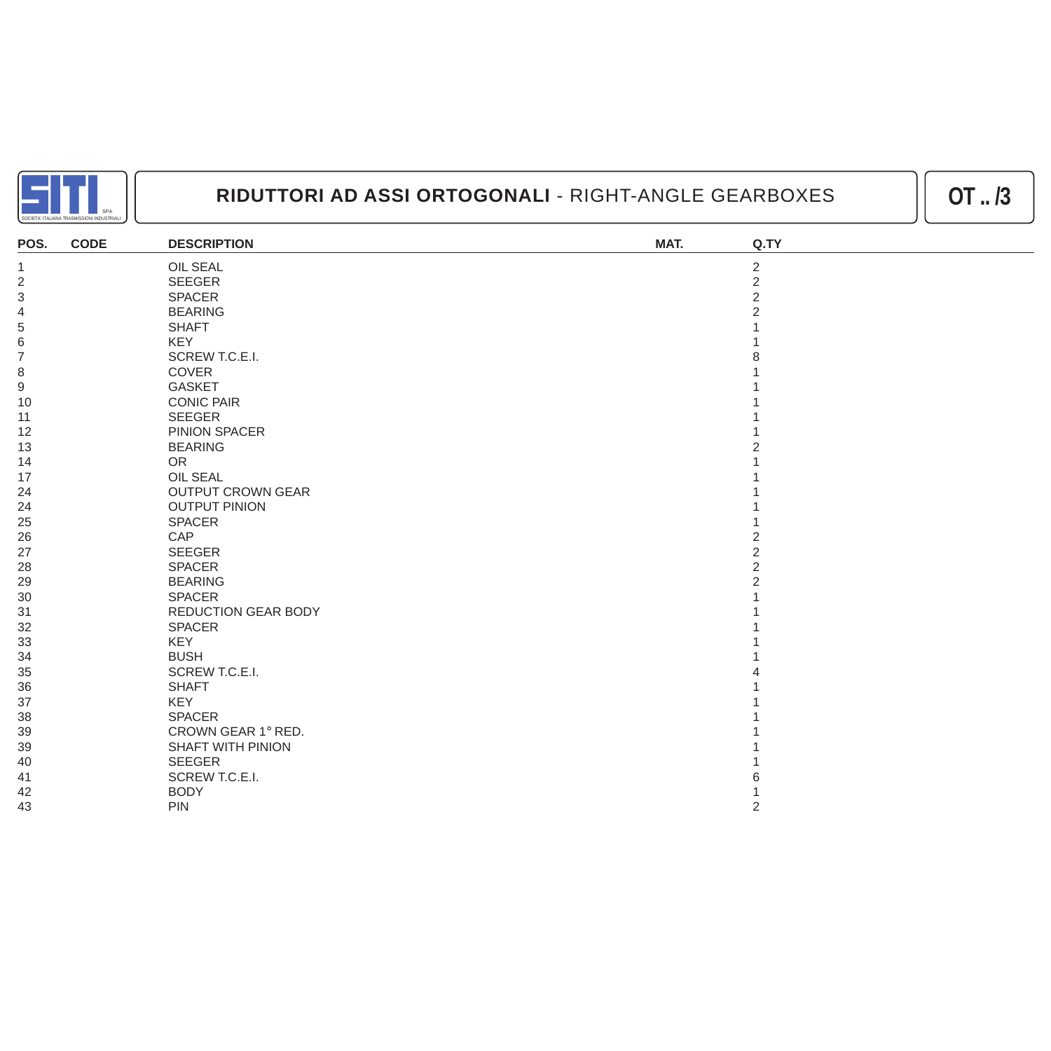

| POS.             | <b>CODE</b> | <b>DESCRIPTION</b>       | MAT. | Q.TY           |
|------------------|-------------|--------------------------|------|----------------|
| $\mathbf{1}$     |             | <b>OIL SEAL</b>          |      | $\sqrt{2}$     |
| $\sqrt{2}$       |             | <b>SEEGER</b>            |      | $\overline{2}$ |
| 3                |             | <b>SPACER</b>            |      | $\overline{2}$ |
| $\overline{4}$   |             | <b>BEARING</b>           |      |                |
| 5                |             | <b>SHAFT</b>             |      |                |
| $\,$ 6 $\,$      |             | <b>KEY</b>               |      |                |
| $\overline{7}$   |             | SCREW T.C.E.I.           |      |                |
| 8                |             | COVER                    |      |                |
| $\boldsymbol{9}$ |             | <b>GASKET</b>            |      |                |
| 10               |             | <b>CONIC PAIR</b>        |      |                |
| 11               |             | <b>SEEGER</b>            |      |                |
| 12               |             | PINION SPACER            |      |                |
| 13               |             | <b>BEARING</b>           |      |                |
| 14               |             | <b>OR</b>                |      |                |
| 17               |             | <b>OIL SEAL</b>          |      |                |
| 24               |             | <b>OUTPUT CROWN GEAR</b> |      |                |
| 24               |             | <b>OUTPUT PINION</b>     |      |                |
| 25               |             | <b>SPACER</b>            |      |                |
| 26               |             | CAP                      |      |                |
| 27               |             | <b>SEEGER</b>            |      | $\overline{2}$ |
| 28               |             | <b>SPACER</b>            |      | $\overline{2}$ |
| 29               |             | <b>BEARING</b>           |      |                |
| 30               |             | <b>SPACER</b>            |      |                |
| 31               |             | REDUCTION GEAR BODY      |      |                |
| 32               |             | <b>SPACER</b>            |      |                |
| 33               |             | KEY                      |      |                |
| 34               |             | <b>BUSH</b>              |      |                |
| 35               |             | SCREW T.C.E.I.           |      |                |
| 36               |             | <b>SHAFT</b>             |      |                |
| 37               |             | <b>KEY</b>               |      |                |
| 38               |             | <b>SPACER</b>            |      |                |
| 39               |             | CROWN GEAR 1° RED.       |      |                |
| 39               |             | <b>SHAFT WITH PINION</b> |      |                |
| 40               |             | <b>SEEGER</b>            |      |                |
| 41               |             | SCREW T.C.E.I.           |      |                |
| 42               |             | <b>BODY</b>              |      |                |
| 43               |             | <b>PIN</b>               |      | $\overline{2}$ |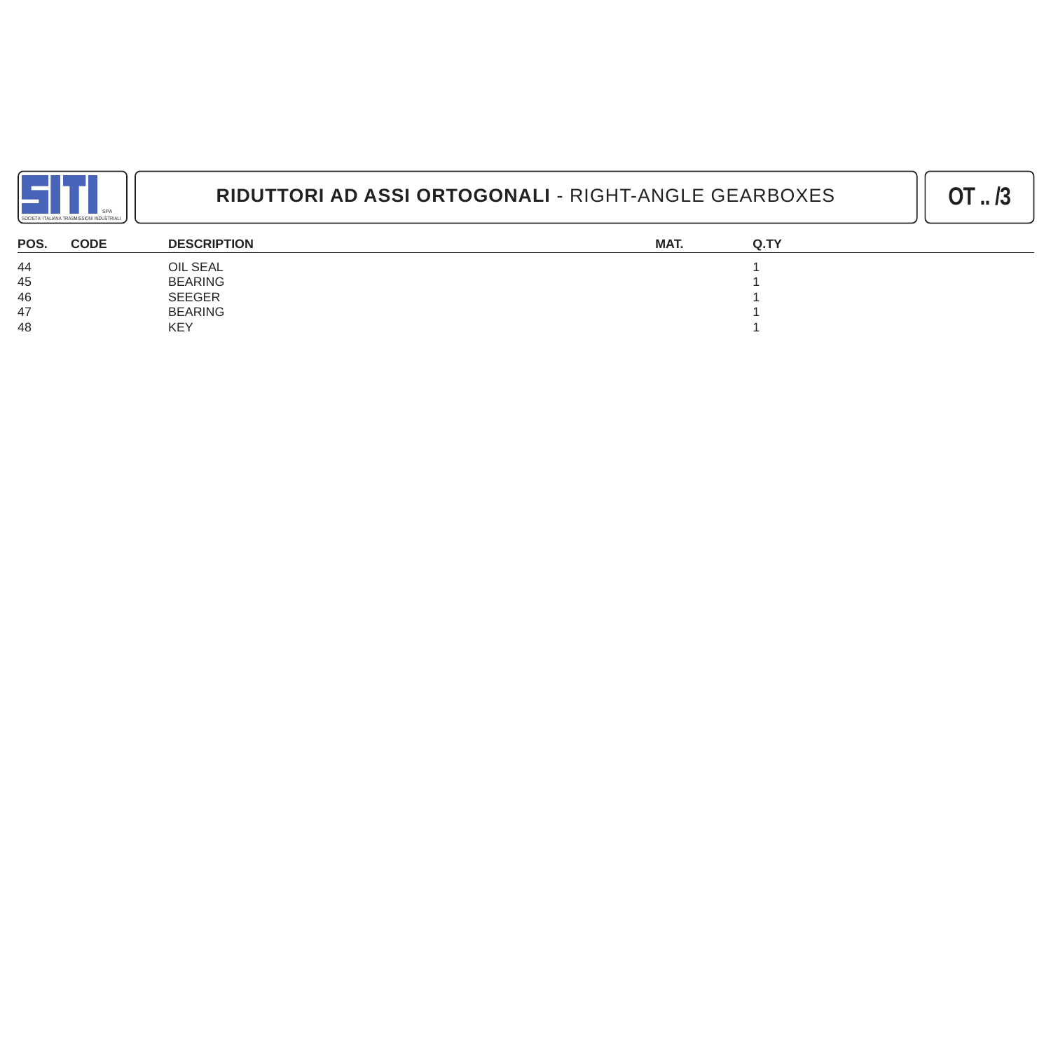

| POS.<br><b>CODE</b> | <b>DESCRIPTION</b> | MAT. | Q.TY |
|---------------------|--------------------|------|------|
| 44                  | OIL SEAL           |      |      |
| 45                  | <b>BEARING</b>     |      |      |
| 46                  | <b>SEEGER</b>      |      |      |
| 47                  | <b>BEARING</b>     |      |      |
| 48                  | <b>KEY</b>         |      |      |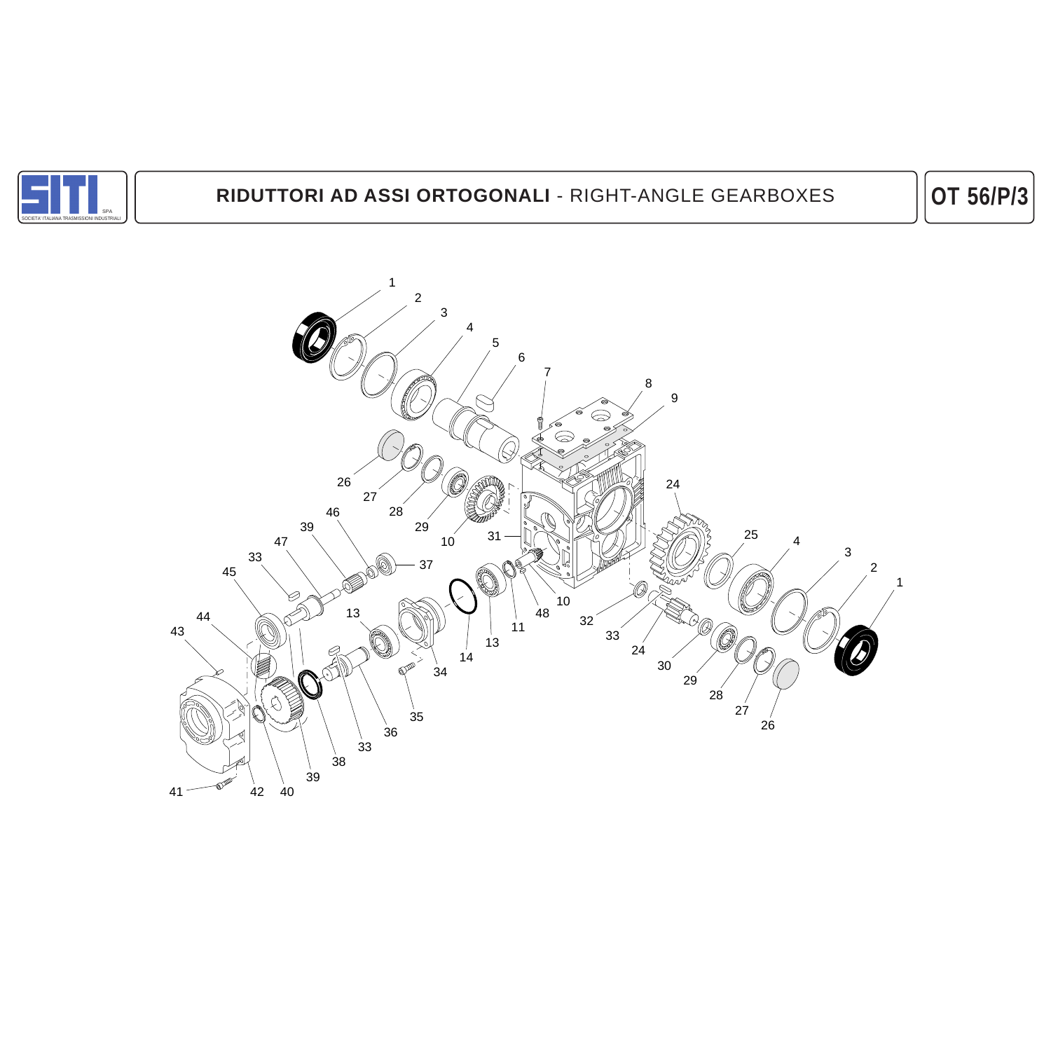

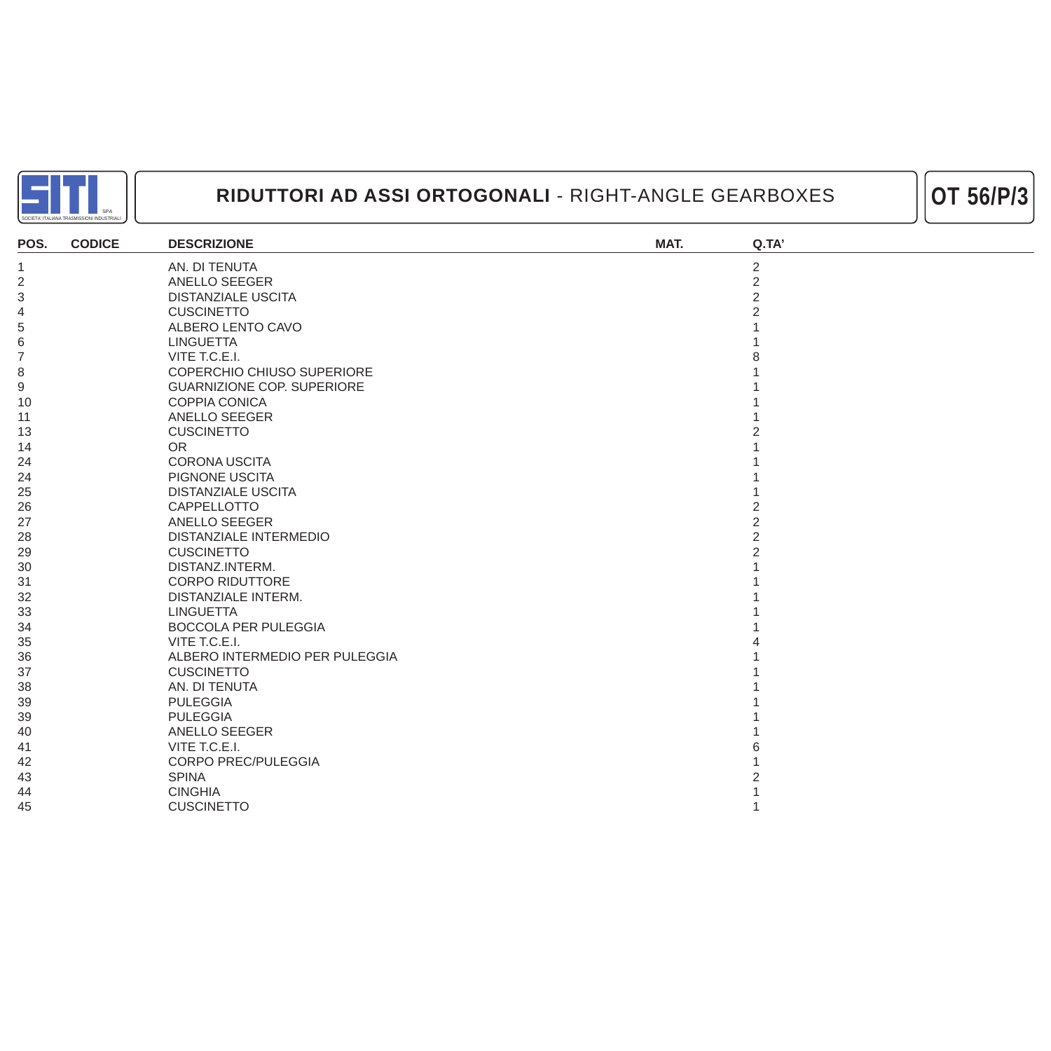



| POS.           | <b>CODICE</b> | <b>DESCRIZIONE</b>                | MAT. | Q.TA'          |
|----------------|---------------|-----------------------------------|------|----------------|
| $\overline{1}$ |               | AN. DI TENUTA                     |      | 2              |
| $\sqrt{2}$     |               | ANELLO SEEGER                     |      | $\overline{2}$ |
| $\mathfrak{S}$ |               | <b>DISTANZIALE USCITA</b>         |      | $\overline{2}$ |
| $\overline{4}$ |               | <b>CUSCINETTO</b>                 |      | $\overline{2}$ |
| 5              |               | ALBERO LENTO CAVO                 |      |                |
| 6              |               | <b>LINGUETTA</b>                  |      |                |
| $\overline{7}$ |               | VITE T.C.E.I.                     |      |                |
| 8              |               | COPERCHIO CHIUSO SUPERIORE        |      |                |
| 9              |               | <b>GUARNIZIONE COP. SUPERIORE</b> |      |                |
| 10             |               | <b>COPPIA CONICA</b>              |      |                |
| 11             |               | <b>ANELLO SEEGER</b>              |      |                |
| 13             |               | <b>CUSCINETTO</b>                 |      |                |
| 14             |               | <b>OR</b>                         |      |                |
| 24             |               | CORONA USCITA                     |      |                |
| 24             |               | PIGNONE USCITA                    |      |                |
| 25             |               | <b>DISTANZIALE USCITA</b>         |      |                |
| 26             |               | CAPPELLOTTO                       |      |                |
| 27             |               | ANELLO SEEGER                     |      | 2              |
| 28             |               | <b>DISTANZIALE INTERMEDIO</b>     |      | $\overline{2}$ |
| 29             |               | <b>CUSCINETTO</b>                 |      | 2              |
| 30             |               | DISTANZ.INTERM.                   |      |                |
| 31             |               | <b>CORPO RIDUTTORE</b>            |      |                |
| 32             |               | DISTANZIALE INTERM.               |      |                |
| 33             |               | <b>LINGUETTA</b>                  |      |                |
| 34             |               | <b>BOCCOLA PER PULEGGIA</b>       |      |                |
| 35             |               | VITE T.C.E.I.                     |      |                |
| 36             |               | ALBERO INTERMEDIO PER PULEGGIA    |      |                |
| 37             |               | <b>CUSCINETTO</b>                 |      |                |
| 38             |               | AN. DI TENUTA                     |      |                |
| 39             |               | <b>PULEGGIA</b>                   |      |                |
| 39             |               | <b>PULEGGIA</b>                   |      |                |
| 40             |               | ANELLO SEEGER                     |      |                |
| 41             |               | VITE T.C.E.I.                     |      |                |
| 42             |               | <b>CORPO PREC/PULEGGIA</b>        |      |                |
| 43             |               | <b>SPINA</b>                      |      |                |
| 44             |               | <b>CINGHIA</b>                    |      |                |
| 45             |               | <b>CUSCINETTO</b>                 |      |                |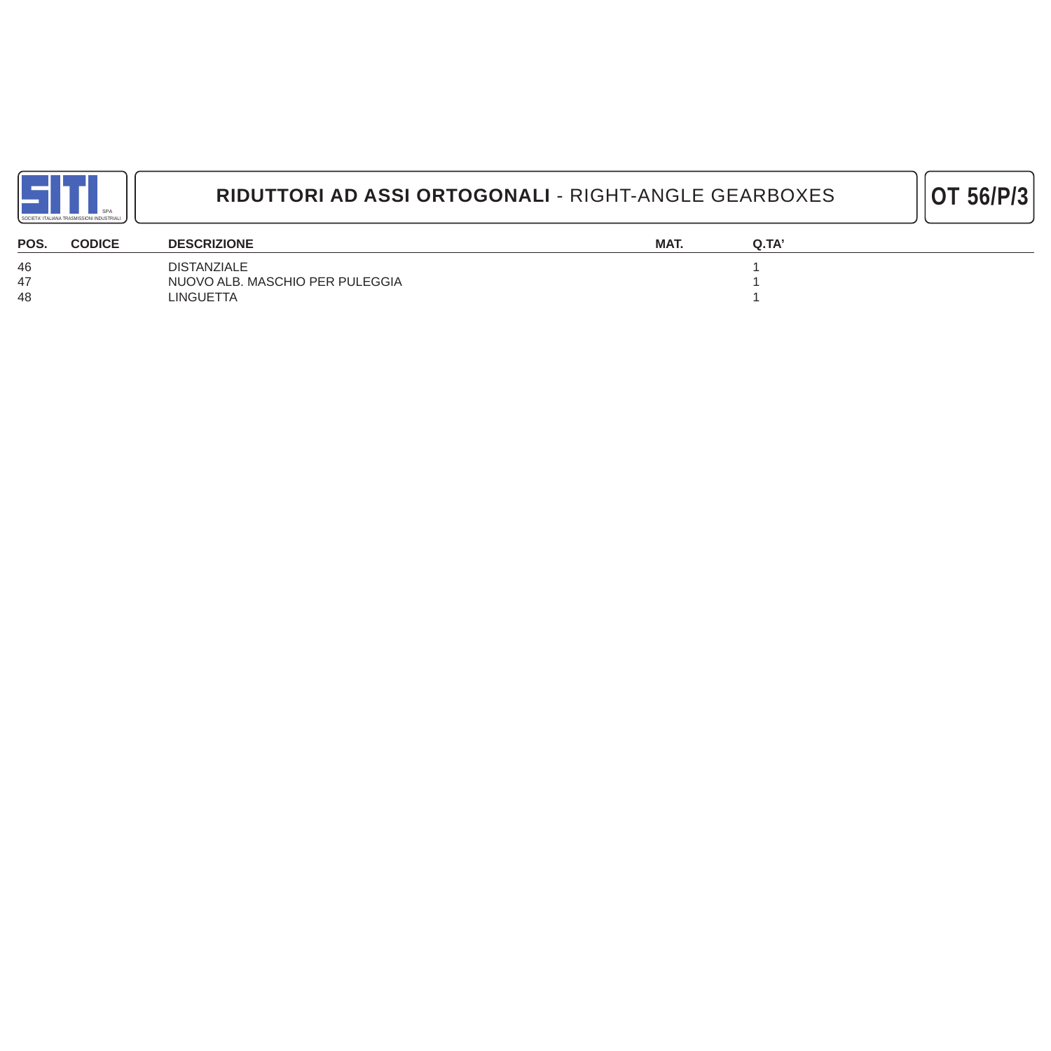

| POS. | <b>CODICE</b> | <b>DESCRIZIONE</b>              | MAT. | Q.TA |
|------|---------------|---------------------------------|------|------|
| 46   |               | <b>DISTANZIALE</b>              |      |      |
|      |               | NUOVO ALB. MASCHIO PER PULEGGIA |      |      |
| 48   |               | LINGUETTA                       |      |      |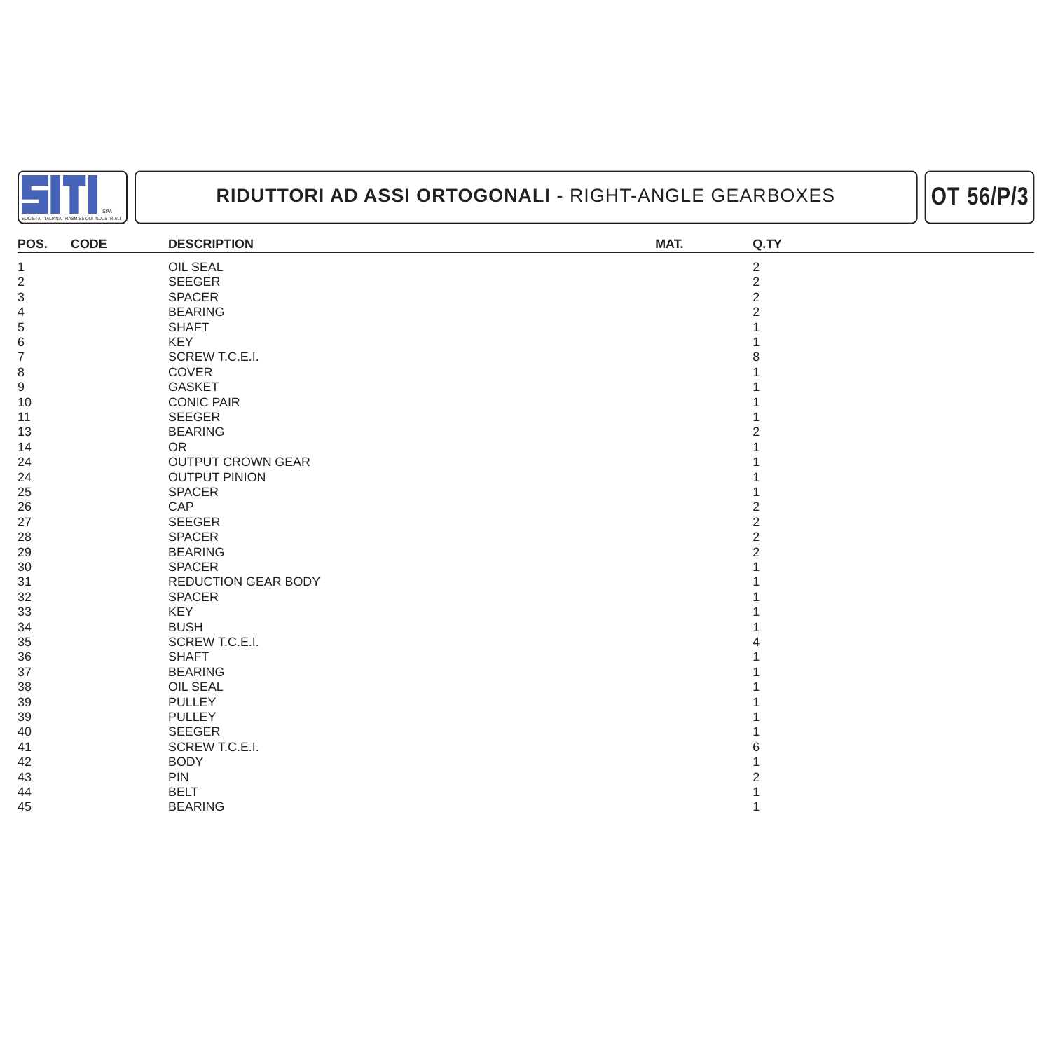



| POS.             | <b>CODE</b> | <b>DESCRIPTION</b>       | MAT. | Q.TY           |
|------------------|-------------|--------------------------|------|----------------|
| $\mathbf 1$      |             | <b>OIL SEAL</b>          |      | $\overline{2}$ |
| $\overline{2}$   |             | SEEGER                   |      | $\overline{2}$ |
| $\sqrt{3}$       |             | SPACER                   |      | $\overline{2}$ |
| $\overline{4}$   |             | <b>BEARING</b>           |      | $\overline{2}$ |
| 5                |             | <b>SHAFT</b>             |      |                |
| $\,$ 6 $\,$      |             | KEY                      |      |                |
| $\overline{7}$   |             | SCREW T.C.E.I.           |      |                |
| $\,8\,$          |             | COVER                    |      |                |
| $\boldsymbol{9}$ |             | <b>GASKET</b>            |      |                |
| 10               |             | <b>CONIC PAIR</b>        |      |                |
| 11               |             | <b>SEEGER</b>            |      |                |
| 13               |             | <b>BEARING</b>           |      |                |
| 14               |             | <b>OR</b>                |      |                |
| 24               |             | <b>OUTPUT CROWN GEAR</b> |      |                |
| 24               |             | <b>OUTPUT PINION</b>     |      |                |
| 25               |             | <b>SPACER</b>            |      |                |
| 26               |             | CAP                      |      | 2              |
| 27               |             | SEEGER                   |      | $\overline{2}$ |
| 28               |             | <b>SPACER</b>            |      | $\overline{2}$ |
| 29               |             | <b>BEARING</b>           |      | $\overline{2}$ |
| $30\,$           |             | <b>SPACER</b>            |      |                |
| 31               |             | REDUCTION GEAR BODY      |      |                |
| 32               |             | <b>SPACER</b>            |      |                |
| 33               |             | KEY                      |      |                |
| 34               |             | <b>BUSH</b>              |      |                |
| 35               |             | SCREW T.C.E.I.           |      |                |
| 36               |             | <b>SHAFT</b>             |      |                |
| 37               |             | <b>BEARING</b>           |      |                |
| 38               |             | OIL SEAL                 |      |                |
| 39               |             | <b>PULLEY</b>            |      |                |
| 39               |             | <b>PULLEY</b>            |      |                |
| 40               |             | <b>SEEGER</b>            |      |                |
| 41               |             | SCREW T.C.E.I.           |      |                |
| 42               |             | <b>BODY</b>              |      |                |
| 43               |             | <b>PIN</b>               |      |                |
| 44               |             | <b>BELT</b>              |      |                |
| 45               |             | <b>BEARING</b>           |      | 1              |